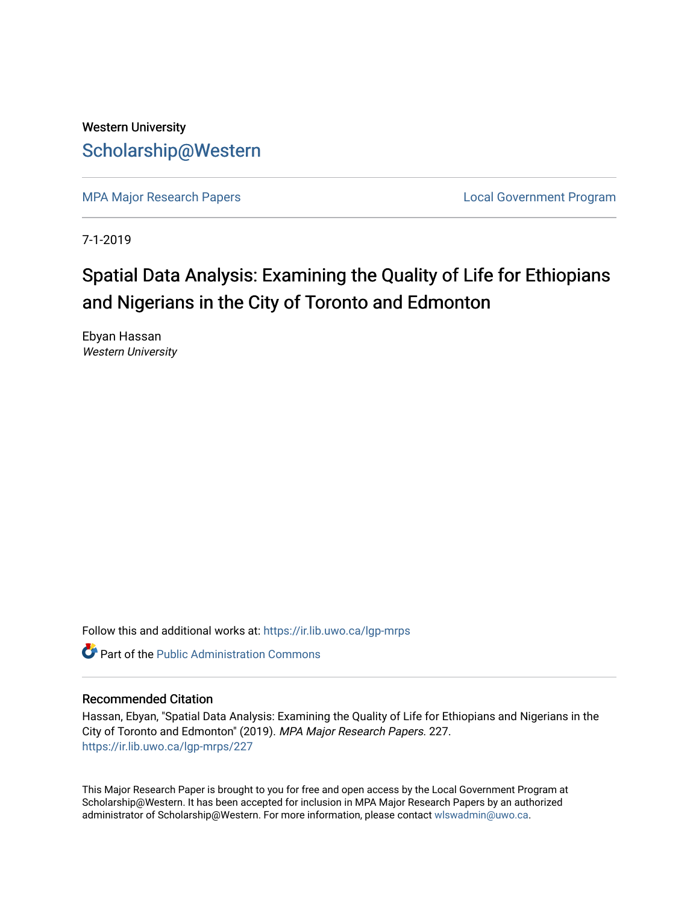## Western University [Scholarship@Western](https://ir.lib.uwo.ca/)

[MPA Major Research Papers](https://ir.lib.uwo.ca/lgp-mrps) **Local Government Program** 

7-1-2019

# Spatial Data Analysis: Examining the Quality of Life for Ethiopians and Nigerians in the City of Toronto and Edmonton

Ebyan Hassan Western University

Follow this and additional works at: [https://ir.lib.uwo.ca/lgp-mrps](https://ir.lib.uwo.ca/lgp-mrps?utm_source=ir.lib.uwo.ca%2Flgp-mrps%2F227&utm_medium=PDF&utm_campaign=PDFCoverPages) 

**C** Part of the [Public Administration Commons](http://network.bepress.com/hgg/discipline/398?utm_source=ir.lib.uwo.ca%2Flgp-mrps%2F227&utm_medium=PDF&utm_campaign=PDFCoverPages)

#### Recommended Citation

Hassan, Ebyan, "Spatial Data Analysis: Examining the Quality of Life for Ethiopians and Nigerians in the City of Toronto and Edmonton" (2019). MPA Major Research Papers. 227. [https://ir.lib.uwo.ca/lgp-mrps/227](https://ir.lib.uwo.ca/lgp-mrps/227?utm_source=ir.lib.uwo.ca%2Flgp-mrps%2F227&utm_medium=PDF&utm_campaign=PDFCoverPages) 

This Major Research Paper is brought to you for free and open access by the Local Government Program at Scholarship@Western. It has been accepted for inclusion in MPA Major Research Papers by an authorized administrator of Scholarship@Western. For more information, please contact [wlswadmin@uwo.ca](mailto:wlswadmin@uwo.ca).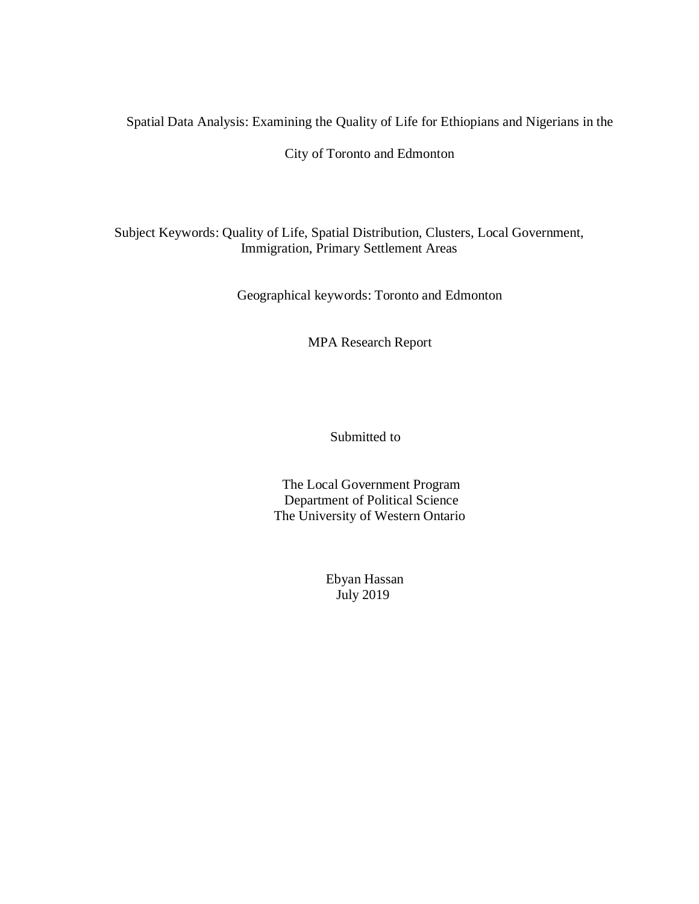Spatial Data Analysis: Examining the Quality of Life for Ethiopians and Nigerians in the

City of Toronto and Edmonton

Subject Keywords: Quality of Life, Spatial Distribution, Clusters, Local Government, Immigration, Primary Settlement Areas

Geographical keywords: Toronto and Edmonton

MPA Research Report

Submitted to

 The Local Government Program Department of Political Science The University of Western Ontario

> Ebyan Hassan July 2019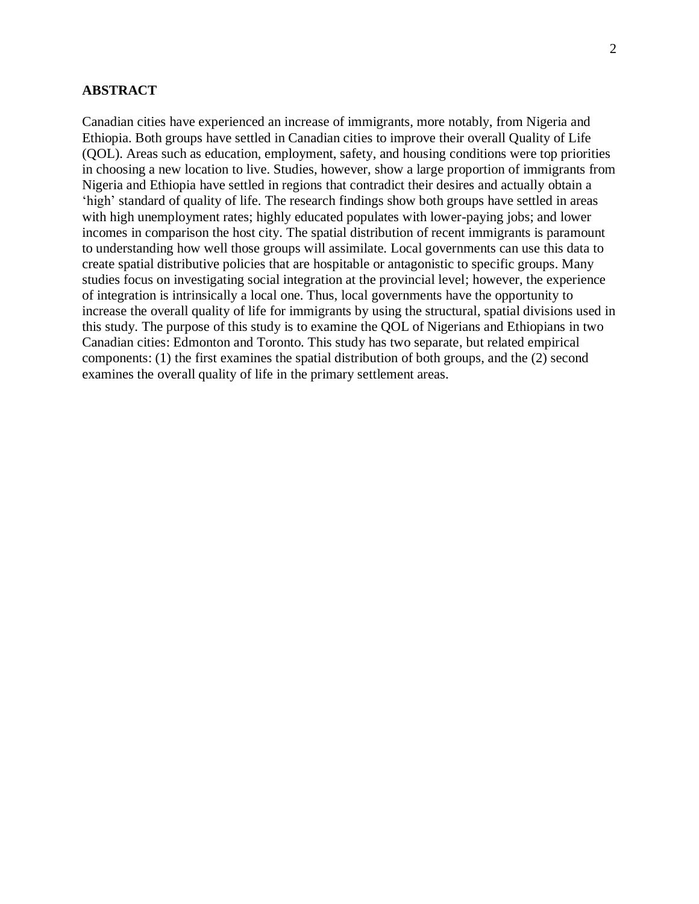## <span id="page-2-0"></span>**ABSTRACT**

Canadian cities have experienced an increase of immigrants, more notably, from Nigeria and Ethiopia. Both groups have settled in Canadian cities to improve their overall Quality of Life (QOL). Areas such as education, employment, safety, and housing conditions were top priorities in choosing a new location to live. Studies, however, show a large proportion of immigrants from Nigeria and Ethiopia have settled in regions that contradict their desires and actually obtain a 'high' standard of quality of life. The research findings show both groups have settled in areas with high unemployment rates; highly educated populates with lower-paying jobs; and lower incomes in comparison the host city. The spatial distribution of recent immigrants is paramount to understanding how well those groups will assimilate. Local governments can use this data to create spatial distributive policies that are hospitable or antagonistic to specific groups. Many studies focus on investigating social integration at the provincial level; however, the experience of integration is intrinsically a local one. Thus, local governments have the opportunity to increase the overall quality of life for immigrants by using the structural, spatial divisions used in this study. The purpose of this study is to examine the QOL of Nigerians and Ethiopians in two Canadian cities: Edmonton and Toronto. This study has two separate, but related empirical components: (1) the first examines the spatial distribution of both groups, and the (2) second examines the overall quality of life in the primary settlement areas.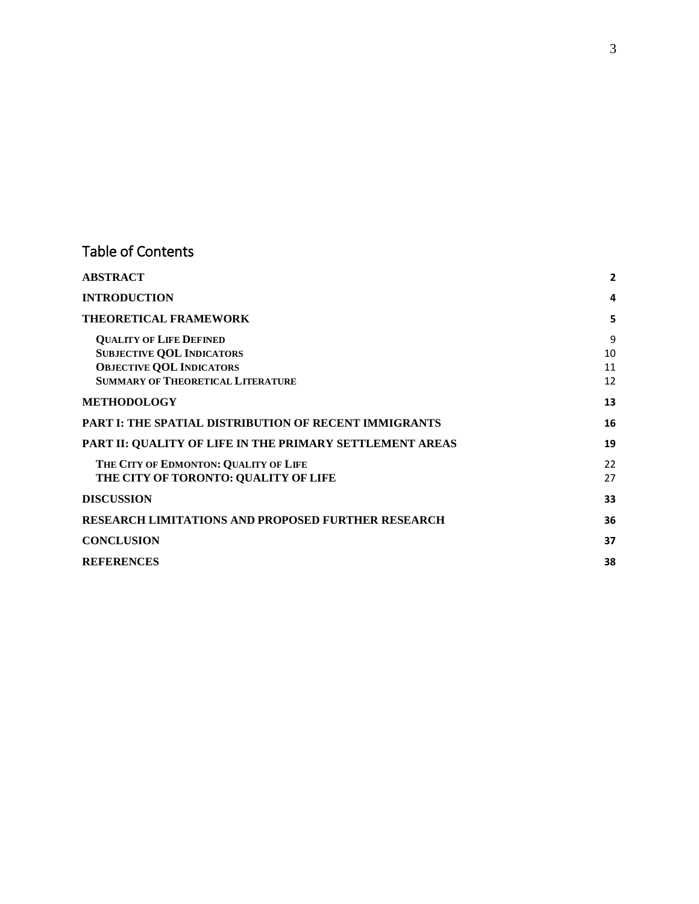## Table of Contents

| <b>ABSTRACT</b>                                                                                                                                   | $\mathbf{2}$        |
|---------------------------------------------------------------------------------------------------------------------------------------------------|---------------------|
| <b>INTRODUCTION</b>                                                                                                                               | 4                   |
| <b>THEORETICAL FRAMEWORK</b>                                                                                                                      | 5                   |
| <b>OUALITY OF LIFE DEFINED</b><br><b>SUBJECTIVE QOL INDICATORS</b><br><b>OBJECTIVE QOL INDICATORS</b><br><b>SUMMARY OF THEORETICAL LITERATURE</b> | 9<br>10<br>11<br>12 |
| <b>METHODOLOGY</b>                                                                                                                                | 13                  |
| <b>PART I: THE SPATIAL DISTRIBUTION OF RECENT IMMIGRANTS</b>                                                                                      | 16                  |
| PART II: QUALITY OF LIFE IN THE PRIMARY SETTLEMENT AREAS                                                                                          | 19                  |
| THE CITY OF EDMONTON: QUALITY OF LIFE<br>THE CITY OF TORONTO: QUALITY OF LIFE                                                                     | 22<br>27            |
| <b>DISCUSSION</b>                                                                                                                                 | 33                  |
| <b>RESEARCH LIMITATIONS AND PROPOSED FURTHER RESEARCH</b>                                                                                         | 36                  |
| <b>CONCLUSION</b>                                                                                                                                 | 37                  |
| <b>REFERENCES</b>                                                                                                                                 | 38                  |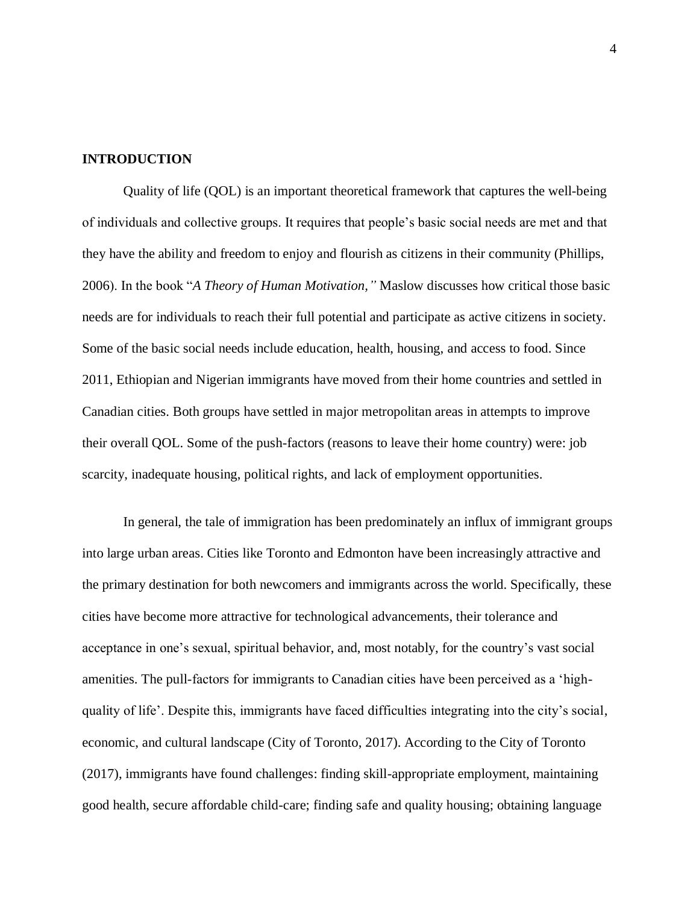#### <span id="page-4-0"></span>**INTRODUCTION**

Quality of life (QOL) is an important theoretical framework that captures the well-being of individuals and collective groups. It requires that people's basic social needs are met and that they have the ability and freedom to enjoy and flourish as citizens in their community (Phillips, 2006). In the book "*A Theory of Human Motivation,"* Maslow discusses how critical those basic needs are for individuals to reach their full potential and participate as active citizens in society. Some of the basic social needs include education, health, housing, and access to food. Since 2011, Ethiopian and Nigerian immigrants have moved from their home countries and settled in Canadian cities. Both groups have settled in major metropolitan areas in attempts to improve their overall QOL. Some of the push-factors (reasons to leave their home country) were: job scarcity, inadequate housing, political rights, and lack of employment opportunities.

In general, the tale of immigration has been predominately an influx of immigrant groups into large urban areas. Cities like Toronto and Edmonton have been increasingly attractive and the primary destination for both newcomers and immigrants across the world. Specifically, these cities have become more attractive for technological advancements, their tolerance and acceptance in one's sexual, spiritual behavior, and, most notably, for the country's vast social amenities. The pull-factors for immigrants to Canadian cities have been perceived as a 'highquality of life'. Despite this, immigrants have faced difficulties integrating into the city's social, economic, and cultural landscape (City of Toronto, 2017). According to the City of Toronto (2017), immigrants have found challenges: finding skill-appropriate employment, maintaining good health, secure affordable child-care; finding safe and quality housing; obtaining language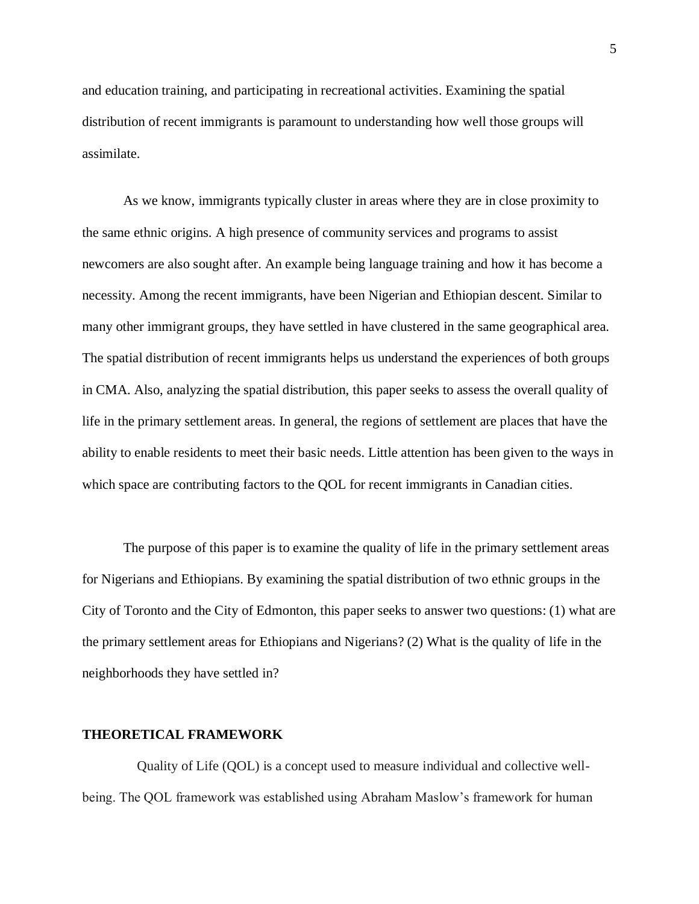and education training, and participating in recreational activities. Examining the spatial distribution of recent immigrants is paramount to understanding how well those groups will assimilate.

As we know, immigrants typically cluster in areas where they are in close proximity to the same ethnic origins. A high presence of community services and programs to assist newcomers are also sought after. An example being language training and how it has become a necessity. Among the recent immigrants, have been Nigerian and Ethiopian descent. Similar to many other immigrant groups, they have settled in have clustered in the same geographical area. The spatial distribution of recent immigrants helps us understand the experiences of both groups in CMA. Also, analyzing the spatial distribution, this paper seeks to assess the overall quality of life in the primary settlement areas. In general, the regions of settlement are places that have the ability to enable residents to meet their basic needs. Little attention has been given to the ways in which space are contributing factors to the QOL for recent immigrants in Canadian cities.

The purpose of this paper is to examine the quality of life in the primary settlement areas for Nigerians and Ethiopians. By examining the spatial distribution of two ethnic groups in the City of Toronto and the City of Edmonton, this paper seeks to answer two questions: (1) what are the primary settlement areas for Ethiopians and Nigerians? (2) What is the quality of life in the neighborhoods they have settled in?

## <span id="page-5-0"></span>**THEORETICAL FRAMEWORK**

Quality of Life (QOL) is a concept used to measure individual and collective wellbeing. The QOL framework was established using Abraham Maslow's framework for human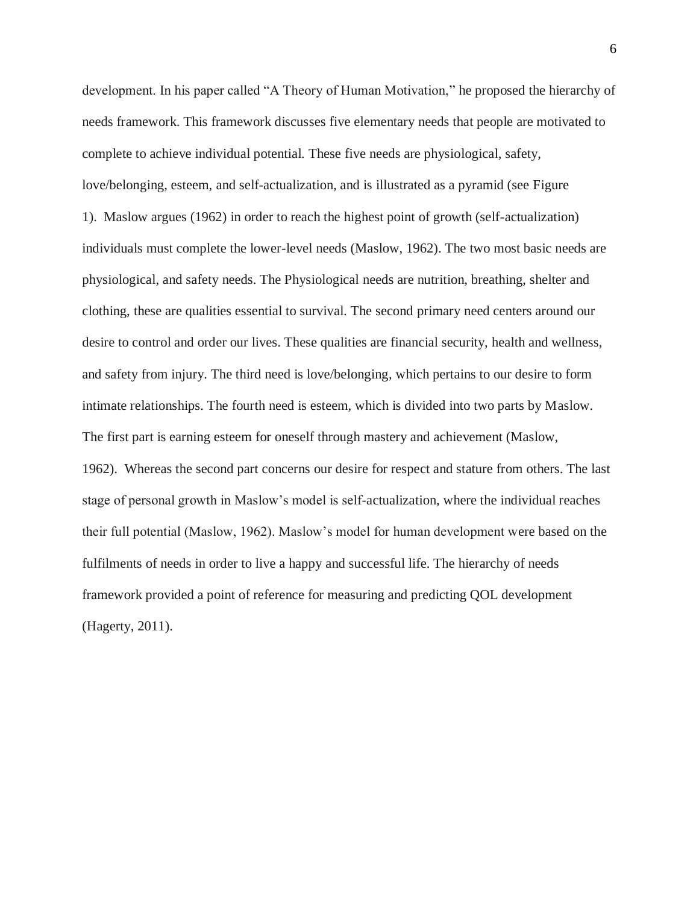development. In his paper called "A Theory of Human Motivation," he proposed the hierarchy of needs framework. This framework discusses five elementary needs that people are motivated to complete to achieve individual potential. These five needs are physiological, safety, love/belonging, esteem, and self-actualization, and is illustrated as a pyramid (see Figure 1). Maslow argues (1962) in order to reach the highest point of growth (self-actualization) individuals must complete the lower-level needs (Maslow, 1962). The two most basic needs are physiological, and safety needs. The Physiological needs are nutrition, breathing, shelter and clothing, these are qualities essential to survival. The second primary need centers around our desire to control and order our lives. These qualities are financial security, health and wellness, and safety from injury. The third need is love/belonging, which pertains to our desire to form intimate relationships. The fourth need is esteem, which is divided into two parts by Maslow. The first part is earning esteem for oneself through mastery and achievement (Maslow, 1962). Whereas the second part concerns our desire for respect and stature from others. The last stage of personal growth in Maslow's model is self-actualization, where the individual reaches their full potential (Maslow, 1962). Maslow's model for human development were based on the fulfilments of needs in order to live a happy and successful life. The hierarchy of needs framework provided a point of reference for measuring and predicting QOL development (Hagerty, 2011).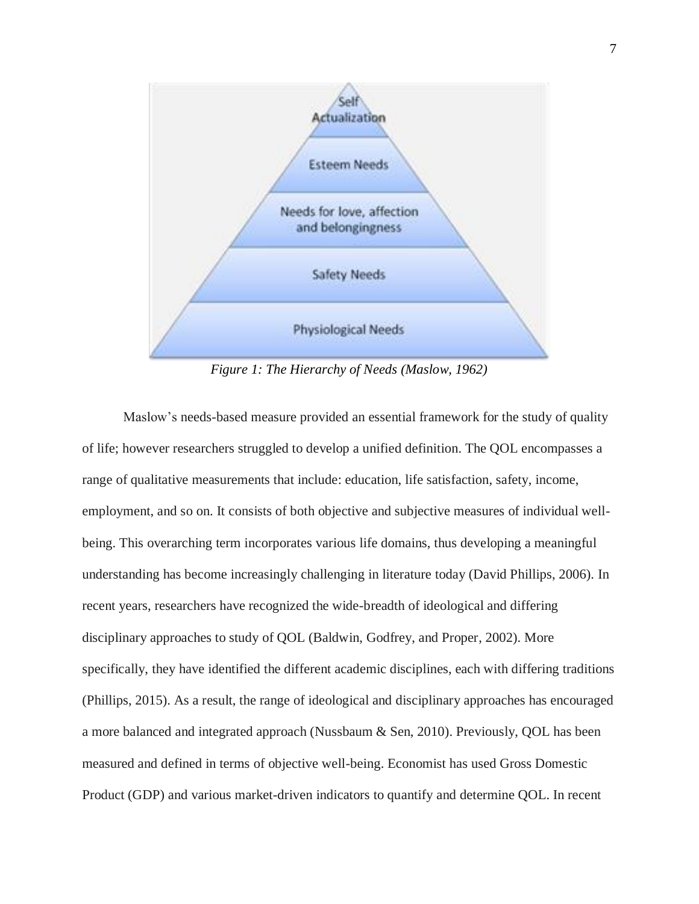

*Figure 1: The Hierarchy of Needs (Maslow, 1962)*

Maslow's needs-based measure provided an essential framework for the study of quality of life; however researchers struggled to develop a unified definition. The QOL encompasses a range of qualitative measurements that include: education, life satisfaction, safety, income, employment, and so on. It consists of both objective and subjective measures of individual wellbeing. This overarching term incorporates various life domains, thus developing a meaningful understanding has become increasingly challenging in literature today (David Phillips, 2006). In recent years, researchers have recognized the wide-breadth of ideological and differing disciplinary approaches to study of QOL (Baldwin, Godfrey, and Proper, 2002). More specifically, they have identified the different academic disciplines, each with differing traditions (Phillips, 2015). As a result, the range of ideological and disciplinary approaches has encouraged a more balanced and integrated approach (Nussbaum & Sen, 2010). Previously, QOL has been measured and defined in terms of objective well-being. Economist has used Gross Domestic Product (GDP) and various market-driven indicators to quantify and determine QOL. In recent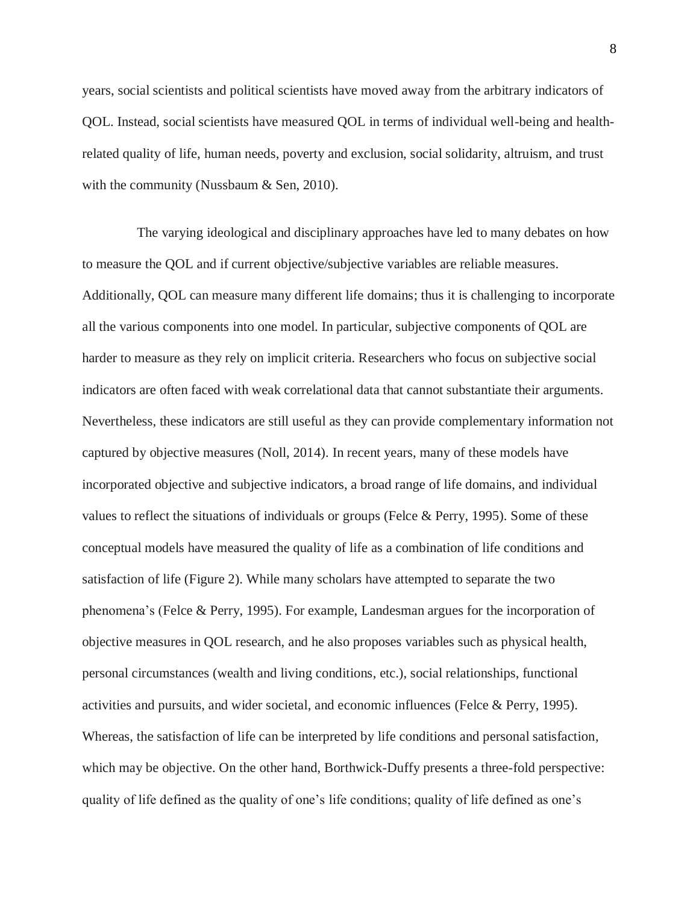years, social scientists and political scientists have moved away from the arbitrary indicators of QOL. Instead, social scientists have measured QOL in terms of individual well-being and healthrelated quality of life, human needs, poverty and exclusion, social solidarity, altruism, and trust with the community (Nussbaum & Sen, 2010).

The varying ideological and disciplinary approaches have led to many debates on how to measure the QOL and if current objective/subjective variables are reliable measures. Additionally, QOL can measure many different life domains; thus it is challenging to incorporate all the various components into one model. In particular, subjective components of QOL are harder to measure as they rely on implicit criteria. Researchers who focus on subjective social indicators are often faced with weak correlational data that cannot substantiate their arguments. Nevertheless, these indicators are still useful as they can provide complementary information not captured by objective measures (Noll, 2014). In recent years, many of these models have incorporated objective and subjective indicators, a broad range of life domains, and individual values to reflect the situations of individuals or groups (Felce & Perry, 1995). Some of these conceptual models have measured the quality of life as a combination of life conditions and satisfaction of life (Figure 2). While many scholars have attempted to separate the two phenomena's (Felce & Perry, 1995). For example, Landesman argues for the incorporation of objective measures in QOL research, and he also proposes variables such as physical health, personal circumstances (wealth and living conditions, etc.), social relationships, functional activities and pursuits, and wider societal, and economic influences (Felce & Perry, 1995). Whereas, the satisfaction of life can be interpreted by life conditions and personal satisfaction, which may be objective. On the other hand, Borthwick-Duffy presents a three-fold perspective: quality of life defined as the quality of one's life conditions; quality of life defined as one's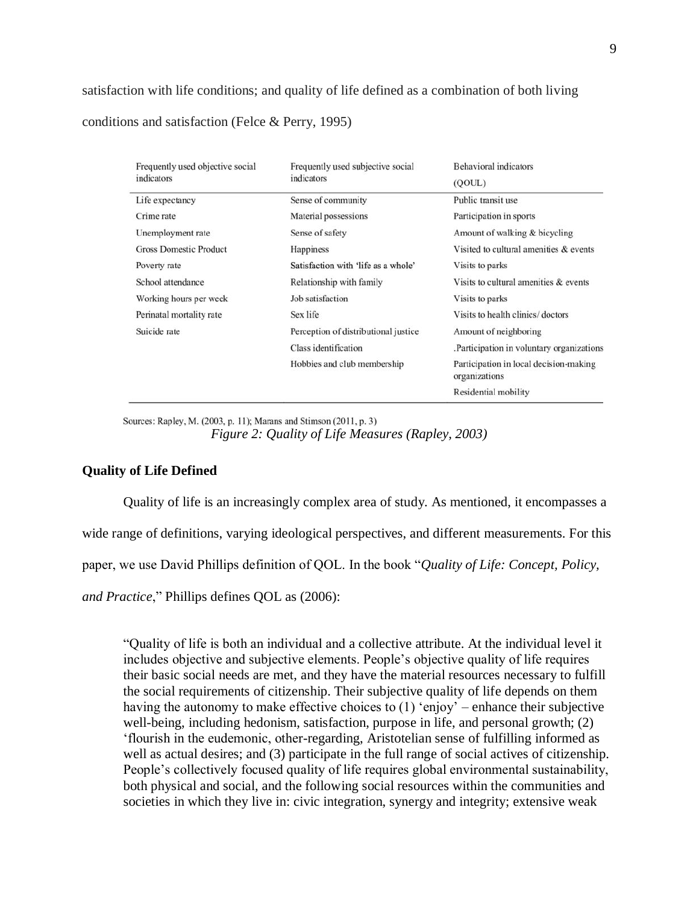satisfaction with life conditions; and quality of life defined as a combination of both living conditions and satisfaction (Felce & Perry, 1995)

| Frequently used objective social | Frequently used subjective social    | <b>Behavioral</b> indicators                            |
|----------------------------------|--------------------------------------|---------------------------------------------------------|
| indicators                       | indicators                           | (OOUL)                                                  |
| Life expectancy                  | Sense of community                   | Public transit use                                      |
| Crime rate                       | Material possessions                 | Participation in sports                                 |
| Unemployment rate                | Sense of safety                      | Amount of walking & bicycling                           |
| <b>Gross Domestic Product</b>    | Happiness                            | Visited to cultural amenities & events                  |
| Poverty rate                     | Satisfaction with 'life as a whole'  | Visits to parks                                         |
| School attendance                | Relationship with family             | Visits to cultural amenities & events                   |
| Working hours per week           | Job satisfaction                     | Visits to parks                                         |
| Perinatal mortality rate         | Sex life                             | Visits to health clinics/doctors                        |
| Suicide rate                     | Perception of distributional justice | Amount of neighboring                                   |
|                                  | Class identification                 | .Participation in voluntary organizations               |
|                                  | Hobbies and club membership          | Participation in local decision-making<br>organizations |
|                                  |                                      | Residential mobility                                    |

Sources: Rapley, M. (2003, p. 11); Marans and Stimson (2011, p. 3) *Figure 2: Quality of Life Measures (Rapley, 2003)*

## <span id="page-9-0"></span>**Quality of Life Defined**

Quality of life is an increasingly complex area of study. As mentioned, it encompasses a

wide range of definitions, varying ideological perspectives, and different measurements. For this

paper, we use David Phillips definition of QOL. In the book "*Quality of Life: Concept, Policy,* 

*and Practice*," Phillips defines QOL as (2006):

"Quality of life is both an individual and a collective attribute. At the individual level it includes objective and subjective elements. People's objective quality of life requires their basic social needs are met, and they have the material resources necessary to fulfill the social requirements of citizenship. Their subjective quality of life depends on them having the autonomy to make effective choices to (1) 'enjoy' – enhance their subjective well-being, including hedonism, satisfaction, purpose in life, and personal growth; (2) 'flourish in the eudemonic, other-regarding, Aristotelian sense of fulfilling informed as well as actual desires; and (3) participate in the full range of social actives of citizenship. People's collectively focused quality of life requires global environmental sustainability, both physical and social, and the following social resources within the communities and societies in which they live in: civic integration, synergy and integrity; extensive weak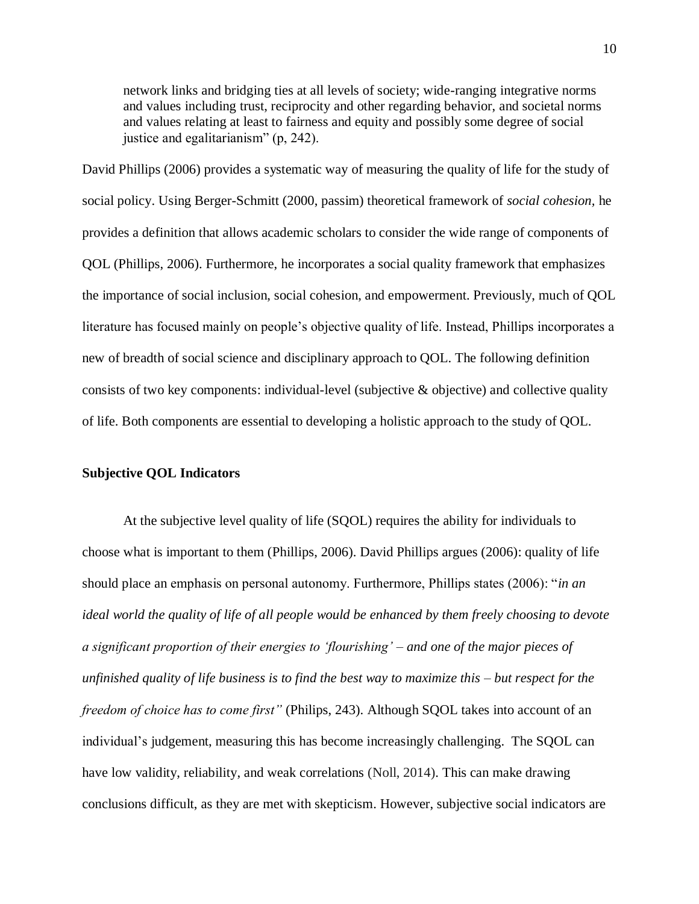network links and bridging ties at all levels of society; wide-ranging integrative norms and values including trust, reciprocity and other regarding behavior, and societal norms and values relating at least to fairness and equity and possibly some degree of social justice and egalitarianism" (p, 242).

David Phillips (2006) provides a systematic way of measuring the quality of life for the study of social policy. Using Berger-Schmitt (2000, passim) theoretical framework of *social cohesion,* he provides a definition that allows academic scholars to consider the wide range of components of QOL (Phillips, 2006). Furthermore, he incorporates a social quality framework that emphasizes the importance of social inclusion, social cohesion, and empowerment. Previously, much of QOL literature has focused mainly on people's objective quality of life. Instead, Phillips incorporates a new of breadth of social science and disciplinary approach to QOL. The following definition consists of two key components: individual-level (subjective & objective) and collective quality of life. Both components are essential to developing a holistic approach to the study of QOL.

## <span id="page-10-0"></span>**Subjective QOL Indicators**

At the subjective level quality of life (SQOL) requires the ability for individuals to choose what is important to them (Phillips, 2006). David Phillips argues (2006): quality of life should place an emphasis on personal autonomy. Furthermore, Phillips states (2006): "*in an ideal world the quality of life of all people would be enhanced by them freely choosing to devote a significant proportion of their energies to 'flourishing' – and one of the major pieces of unfinished quality of life business is to find the best way to maximize this – but respect for the freedom of choice has to come first"* (Philips, 243). Although SQOL takes into account of an individual's judgement, measuring this has become increasingly challenging. The SQOL can have low validity, reliability, and weak correlations (Noll, 2014). This can make drawing conclusions difficult, as they are met with skepticism. However, subjective social indicators are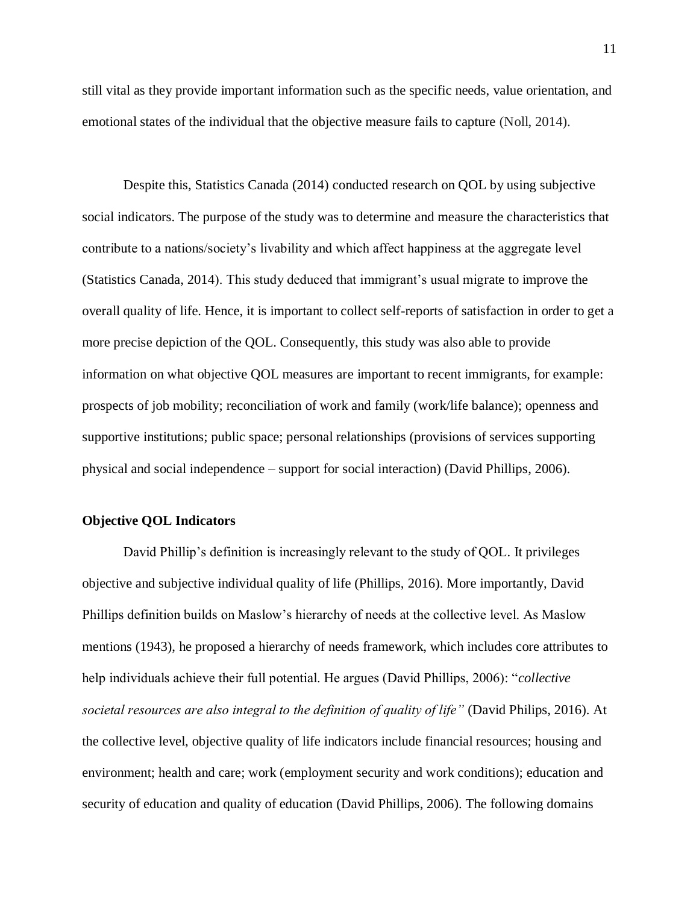still vital as they provide important information such as the specific needs, value orientation, and emotional states of the individual that the objective measure fails to capture (Noll, 2014).

Despite this, Statistics Canada (2014) conducted research on QOL by using subjective social indicators. The purpose of the study was to determine and measure the characteristics that contribute to a nations/society's livability and which affect happiness at the aggregate level (Statistics Canada, 2014). This study deduced that immigrant's usual migrate to improve the overall quality of life. Hence, it is important to collect self-reports of satisfaction in order to get a more precise depiction of the QOL. Consequently, this study was also able to provide information on what objective QOL measures are important to recent immigrants, for example: prospects of job mobility; reconciliation of work and family (work/life balance); openness and supportive institutions; public space; personal relationships (provisions of services supporting physical and social independence – support for social interaction) (David Phillips, 2006).

### <span id="page-11-0"></span>**Objective QOL Indicators**

David Phillip's definition is increasingly relevant to the study of QOL. It privileges objective and subjective individual quality of life (Phillips, 2016). More importantly, David Phillips definition builds on Maslow's hierarchy of needs at the collective level. As Maslow mentions (1943), he proposed a hierarchy of needs framework, which includes core attributes to help individuals achieve their full potential. He argues (David Phillips, 2006): "*collective societal resources are also integral to the definition of quality of life"* (David Philips, 2016). At the collective level, objective quality of life indicators include financial resources; housing and environment; health and care; work (employment security and work conditions); education and security of education and quality of education (David Phillips, 2006). The following domains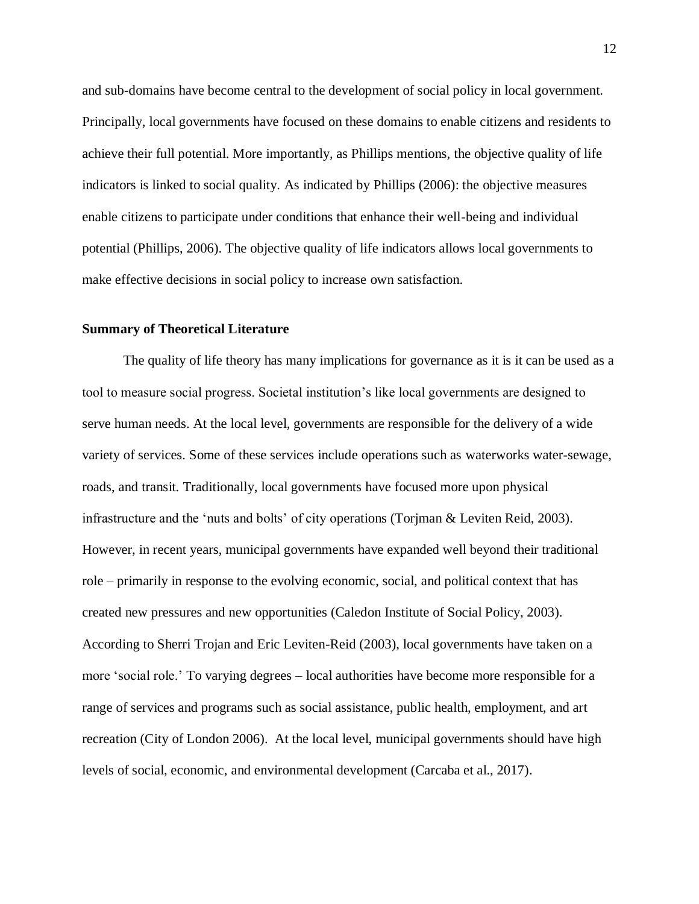and sub-domains have become central to the development of social policy in local government. Principally, local governments have focused on these domains to enable citizens and residents to achieve their full potential. More importantly, as Phillips mentions, the objective quality of life indicators is linked to social quality. As indicated by Phillips (2006): the objective measures enable citizens to participate under conditions that enhance their well-being and individual potential (Phillips, 2006). The objective quality of life indicators allows local governments to make effective decisions in social policy to increase own satisfaction.

#### <span id="page-12-0"></span>**Summary of Theoretical Literature**

The quality of life theory has many implications for governance as it is it can be used as a tool to measure social progress. Societal institution's like local governments are designed to serve human needs. At the local level, governments are responsible for the delivery of a wide variety of services. Some of these services include operations such as waterworks water-sewage, roads, and transit. Traditionally, local governments have focused more upon physical infrastructure and the 'nuts and bolts' of city operations (Torjman & Leviten Reid, 2003). However, in recent years, municipal governments have expanded well beyond their traditional role – primarily in response to the evolving economic, social, and political context that has created new pressures and new opportunities (Caledon Institute of Social Policy, 2003). According to Sherri Trojan and Eric Leviten-Reid (2003), local governments have taken on a more 'social role.' To varying degrees – local authorities have become more responsible for a range of services and programs such as social assistance, public health, employment, and art recreation (City of London 2006). At the local level, municipal governments should have high levels of social, economic, and environmental development (Carcaba et al., 2017).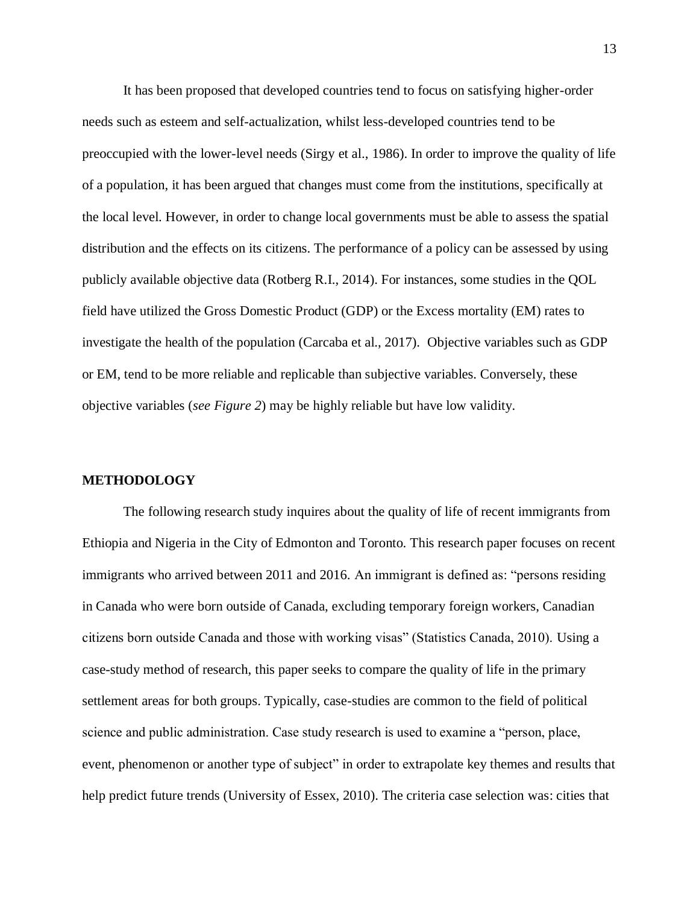It has been proposed that developed countries tend to focus on satisfying higher-order needs such as esteem and self-actualization, whilst less-developed countries tend to be preoccupied with the lower-level needs (Sirgy et al., 1986). In order to improve the quality of life of a population, it has been argued that changes must come from the institutions, specifically at the local level. However, in order to change local governments must be able to assess the spatial distribution and the effects on its citizens. The performance of a policy can be assessed by using publicly available objective data (Rotberg R.I., 2014). For instances, some studies in the QOL field have utilized the Gross Domestic Product (GDP) or the Excess mortality (EM) rates to investigate the health of the population (Carcaba et al., 2017). Objective variables such as GDP or EM, tend to be more reliable and replicable than subjective variables. Conversely, these objective variables (*see Figure 2*) may be highly reliable but have low validity.

#### <span id="page-13-0"></span>**METHODOLOGY**

The following research study inquires about the quality of life of recent immigrants from Ethiopia and Nigeria in the City of Edmonton and Toronto. This research paper focuses on recent immigrants who arrived between 2011 and 2016. An immigrant is defined as: "persons residing in Canada who were born outside of Canada, excluding temporary foreign workers, Canadian citizens born outside Canada and those with working visas" (Statistics Canada, 2010). Using a case-study method of research, this paper seeks to compare the quality of life in the primary settlement areas for both groups. Typically, case-studies are common to the field of political science and public administration. Case study research is used to examine a "person, place, event, phenomenon or another type of subject" in order to extrapolate key themes and results that help predict future trends (University of Essex, 2010). The criteria case selection was: cities that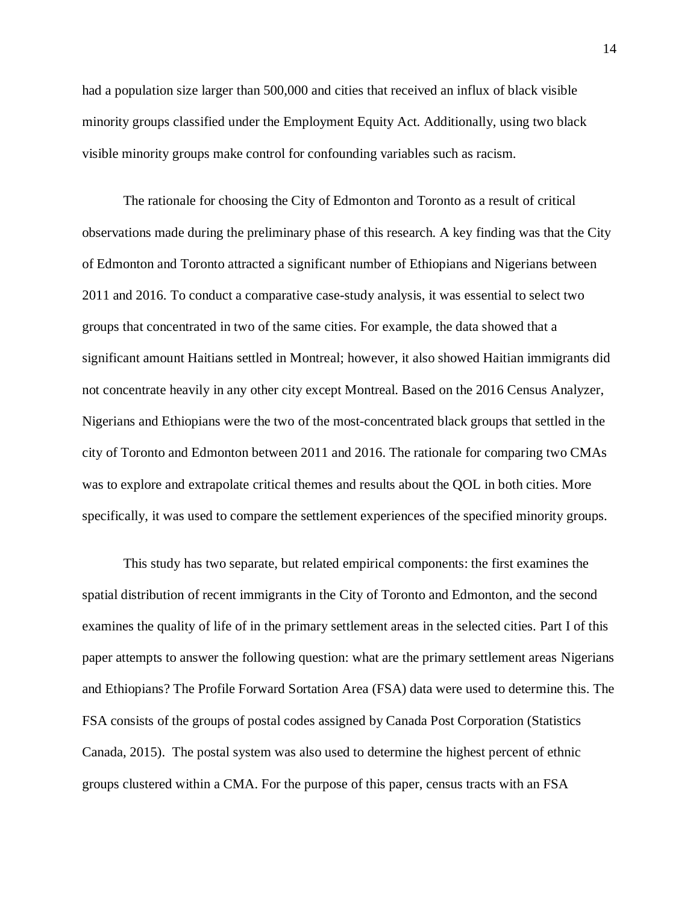had a population size larger than 500,000 and cities that received an influx of black visible minority groups classified under the Employment Equity Act. Additionally, using two black visible minority groups make control for confounding variables such as racism.

The rationale for choosing the City of Edmonton and Toronto as a result of critical observations made during the preliminary phase of this research. A key finding was that the City of Edmonton and Toronto attracted a significant number of Ethiopians and Nigerians between 2011 and 2016. To conduct a comparative case-study analysis, it was essential to select two groups that concentrated in two of the same cities. For example, the data showed that a significant amount Haitians settled in Montreal; however, it also showed Haitian immigrants did not concentrate heavily in any other city except Montreal. Based on the 2016 Census Analyzer, Nigerians and Ethiopians were the two of the most-concentrated black groups that settled in the city of Toronto and Edmonton between 2011 and 2016. The rationale for comparing two CMAs was to explore and extrapolate critical themes and results about the QOL in both cities. More specifically, it was used to compare the settlement experiences of the specified minority groups.

This study has two separate, but related empirical components: the first examines the spatial distribution of recent immigrants in the City of Toronto and Edmonton, and the second examines the quality of life of in the primary settlement areas in the selected cities. Part I of this paper attempts to answer the following question: what are the primary settlement areas Nigerians and Ethiopians? The Profile Forward Sortation Area (FSA) data were used to determine this. The FSA consists of the groups of postal codes assigned by Canada Post Corporation (Statistics Canada, 2015). The postal system was also used to determine the highest percent of ethnic groups clustered within a CMA. For the purpose of this paper, census tracts with an FSA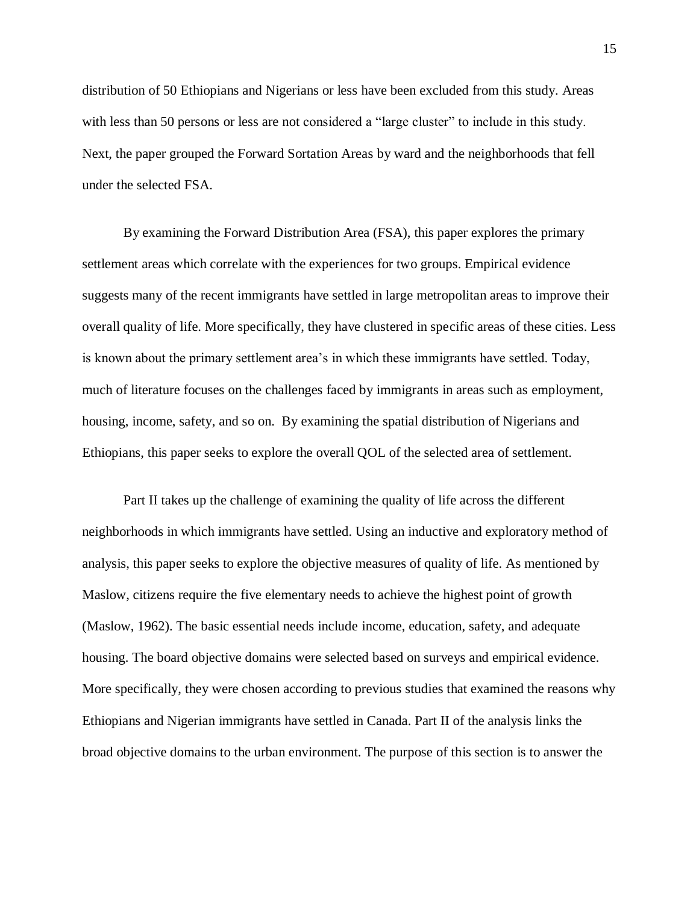distribution of 50 Ethiopians and Nigerians or less have been excluded from this study. Areas with less than 50 persons or less are not considered a "large cluster" to include in this study. Next, the paper grouped the Forward Sortation Areas by ward and the neighborhoods that fell under the selected FSA.

By examining the Forward Distribution Area (FSA), this paper explores the primary settlement areas which correlate with the experiences for two groups. Empirical evidence suggests many of the recent immigrants have settled in large metropolitan areas to improve their overall quality of life. More specifically, they have clustered in specific areas of these cities. Less is known about the primary settlement area's in which these immigrants have settled. Today, much of literature focuses on the challenges faced by immigrants in areas such as employment, housing, income, safety, and so on. By examining the spatial distribution of Nigerians and Ethiopians, this paper seeks to explore the overall QOL of the selected area of settlement.

Part II takes up the challenge of examining the quality of life across the different neighborhoods in which immigrants have settled. Using an inductive and exploratory method of analysis, this paper seeks to explore the objective measures of quality of life. As mentioned by Maslow, citizens require the five elementary needs to achieve the highest point of growth (Maslow, 1962). The basic essential needs include income, education, safety, and adequate housing. The board objective domains were selected based on surveys and empirical evidence. More specifically, they were chosen according to previous studies that examined the reasons why Ethiopians and Nigerian immigrants have settled in Canada. Part II of the analysis links the broad objective domains to the urban environment. The purpose of this section is to answer the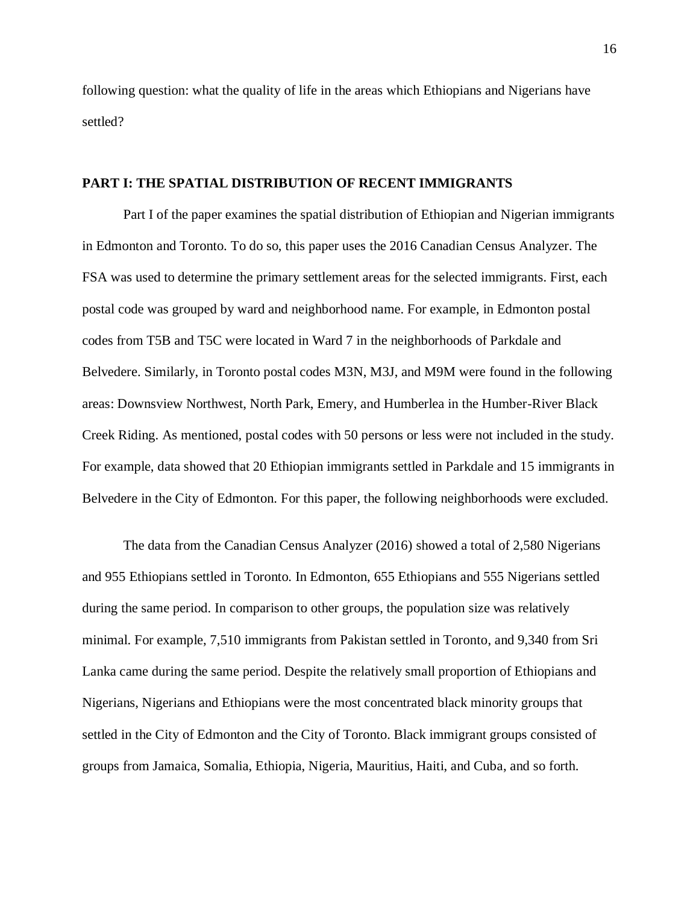following question: what the quality of life in the areas which Ethiopians and Nigerians have settled?

#### <span id="page-16-0"></span>**PART I: THE SPATIAL DISTRIBUTION OF RECENT IMMIGRANTS**

Part I of the paper examines the spatial distribution of Ethiopian and Nigerian immigrants in Edmonton and Toronto. To do so, this paper uses the 2016 Canadian Census Analyzer. The FSA was used to determine the primary settlement areas for the selected immigrants. First, each postal code was grouped by ward and neighborhood name. For example, in Edmonton postal codes from T5B and T5C were located in Ward 7 in the neighborhoods of Parkdale and Belvedere. Similarly, in Toronto postal codes M3N, M3J, and M9M were found in the following areas: Downsview Northwest, North Park, Emery, and Humberlea in the Humber-River Black Creek Riding. As mentioned, postal codes with 50 persons or less were not included in the study. For example, data showed that 20 Ethiopian immigrants settled in Parkdale and 15 immigrants in Belvedere in the City of Edmonton. For this paper, the following neighborhoods were excluded.

The data from the Canadian Census Analyzer (2016) showed a total of 2,580 Nigerians and 955 Ethiopians settled in Toronto. In Edmonton, 655 Ethiopians and 555 Nigerians settled during the same period. In comparison to other groups, the population size was relatively minimal. For example, 7,510 immigrants from Pakistan settled in Toronto, and 9,340 from Sri Lanka came during the same period. Despite the relatively small proportion of Ethiopians and Nigerians, Nigerians and Ethiopians were the most concentrated black minority groups that settled in the City of Edmonton and the City of Toronto. Black immigrant groups consisted of groups from Jamaica, Somalia, Ethiopia, Nigeria, Mauritius, Haiti, and Cuba, and so forth.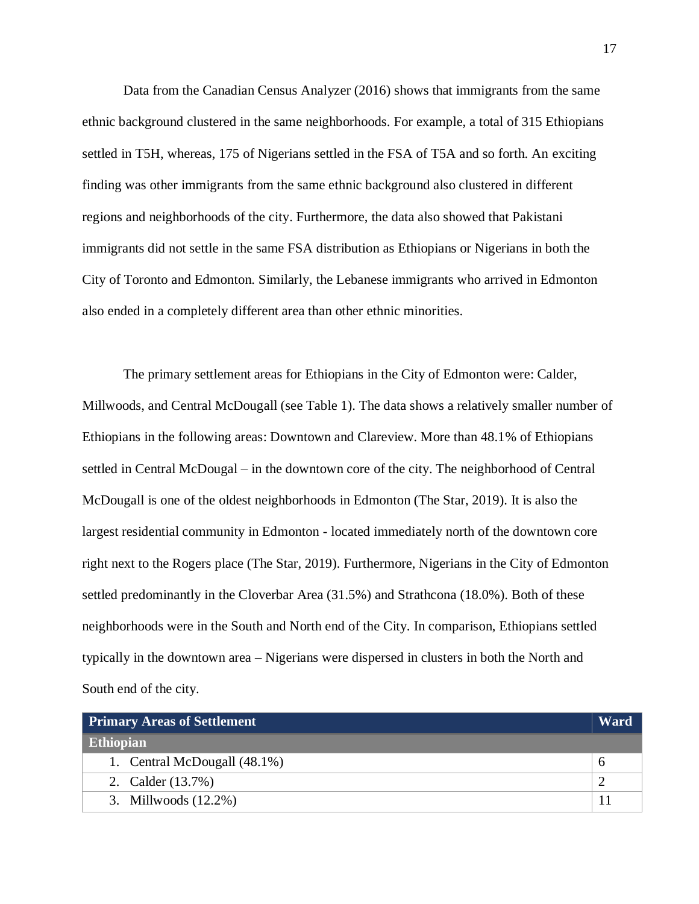Data from the Canadian Census Analyzer (2016) shows that immigrants from the same ethnic background clustered in the same neighborhoods. For example, a total of 315 Ethiopians settled in T5H, whereas, 175 of Nigerians settled in the FSA of T5A and so forth. An exciting finding was other immigrants from the same ethnic background also clustered in different regions and neighborhoods of the city. Furthermore, the data also showed that Pakistani immigrants did not settle in the same FSA distribution as Ethiopians or Nigerians in both the City of Toronto and Edmonton. Similarly, the Lebanese immigrants who arrived in Edmonton also ended in a completely different area than other ethnic minorities.

The primary settlement areas for Ethiopians in the City of Edmonton were: Calder, Millwoods, and Central McDougall (see Table 1). The data shows a relatively smaller number of Ethiopians in the following areas: Downtown and Clareview. More than 48.1% of Ethiopians settled in Central McDougal – in the downtown core of the city. The neighborhood of Central McDougall is one of the oldest neighborhoods in Edmonton (The Star, 2019). It is also the largest residential community in Edmonton - located immediately north of the downtown core right next to the Rogers place (The Star, 2019). Furthermore, Nigerians in the City of Edmonton settled predominantly in the Cloverbar Area (31.5%) and Strathcona (18.0%). Both of these neighborhoods were in the South and North end of the City. In comparison, Ethiopians settled typically in the downtown area – Nigerians were dispersed in clusters in both the North and South end of the city.

| <b>Primary Areas of Settlement</b> | Ward |
|------------------------------------|------|
| Ethiopian                          |      |
| 1. Central McDougall (48.1%)       |      |
| 2. Calder (13.7%)                  |      |
| 3. Millwoods $(12.2\%)$            |      |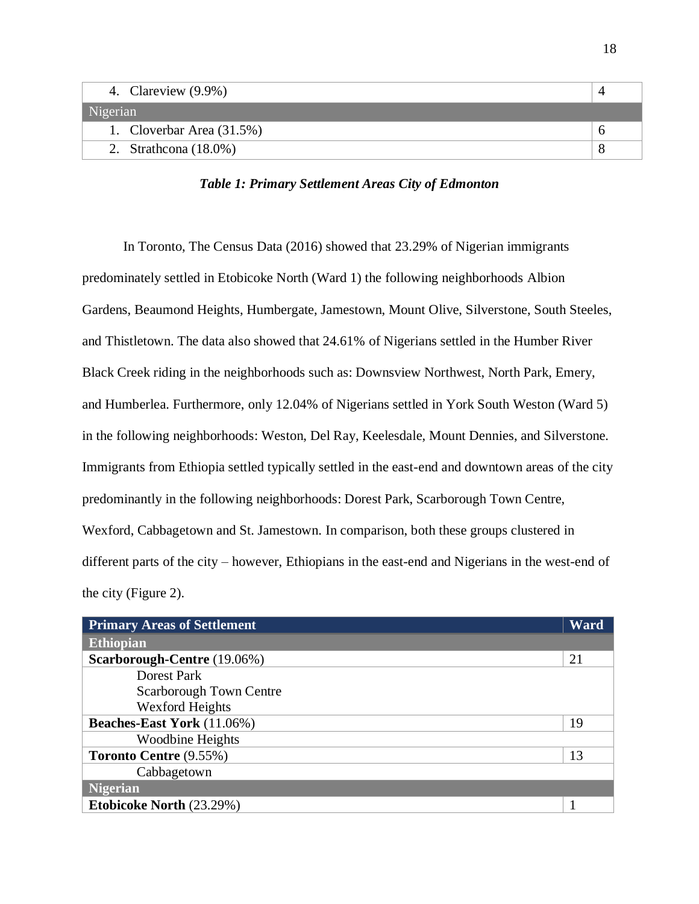| 4. Clareview (9.9%)          |  |
|------------------------------|--|
| Nigerian                     |  |
| 1. Cloverbar Area $(31.5\%)$ |  |
| 2. Strathcona $(18.0\%)$     |  |

*Table 1: Primary Settlement Areas City of Edmonton*

In Toronto, The Census Data (2016) showed that 23.29% of Nigerian immigrants predominately settled in Etobicoke North (Ward 1) the following neighborhoods Albion Gardens, Beaumond Heights, Humbergate, Jamestown, Mount Olive, Silverstone, South Steeles, and Thistletown. The data also showed that 24.61% of Nigerians settled in the Humber River Black Creek riding in the neighborhoods such as: Downsview Northwest, North Park, Emery, and Humberlea. Furthermore, only 12.04% of Nigerians settled in York South Weston (Ward 5) in the following neighborhoods: Weston, Del Ray, Keelesdale, Mount Dennies, and Silverstone. Immigrants from Ethiopia settled typically settled in the east-end and downtown areas of the city predominantly in the following neighborhoods: Dorest Park, Scarborough Town Centre, Wexford, Cabbagetown and St. Jamestown. In comparison, both these groups clustered in different parts of the city – however, Ethiopians in the east-end and Nigerians in the west-end of the city (Figure 2).

| <b>Primary Areas of Settlement</b> | Ward |
|------------------------------------|------|
| <b>Ethiopian</b>                   |      |
| Scarborough-Centre (19.06%)        | 21   |
| Dorest Park                        |      |
| <b>Scarborough Town Centre</b>     |      |
| <b>Wexford Heights</b>             |      |
| <b>Beaches-East York</b> (11.06%)  | 19   |
| Woodbine Heights                   |      |
| <b>Toronto Centre (9.55%)</b>      | 13   |
| Cabbagetown                        |      |
| <b>Nigerian</b>                    |      |
| <b>Etobicoke North (23.29%)</b>    |      |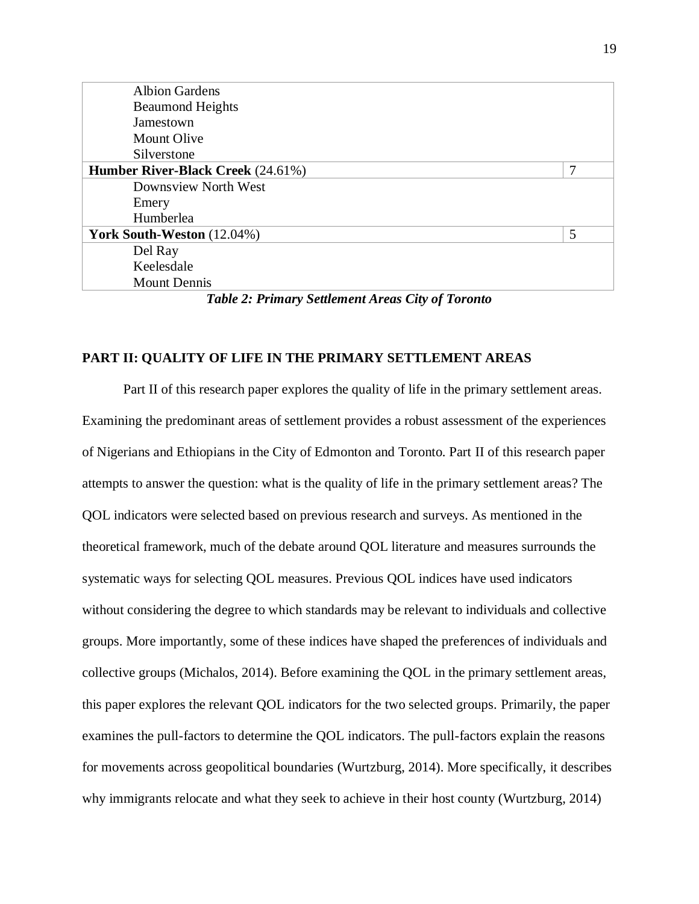| <b>Albion Gardens</b>                                            |   |
|------------------------------------------------------------------|---|
| <b>Beaumond Heights</b>                                          |   |
| Jamestown                                                        |   |
| <b>Mount Olive</b>                                               |   |
| Silverstone                                                      |   |
| <b>Humber River-Black Creek</b> (24.61%)                         | 7 |
| Downsview North West                                             |   |
| Emery                                                            |   |
| Humberlea                                                        |   |
| <b>York South-Weston</b> (12.04%)                                | 5 |
| Del Ray                                                          |   |
| Keelesdale                                                       |   |
| <b>Mount Dennis</b>                                              |   |
| $\sim$ $\sim$ $\sim$ $\sim$ $\sim$<br>---------<br>$\sim$ $\sim$ |   |

*Table 2: Primary Settlement Areas City of Toronto*

## <span id="page-19-0"></span>**PART II: QUALITY OF LIFE IN THE PRIMARY SETTLEMENT AREAS**

Part II of this research paper explores the quality of life in the primary settlement areas. Examining the predominant areas of settlement provides a robust assessment of the experiences of Nigerians and Ethiopians in the City of Edmonton and Toronto. Part II of this research paper attempts to answer the question: what is the quality of life in the primary settlement areas? The QOL indicators were selected based on previous research and surveys. As mentioned in the theoretical framework, much of the debate around QOL literature and measures surrounds the systematic ways for selecting QOL measures. Previous QOL indices have used indicators without considering the degree to which standards may be relevant to individuals and collective groups. More importantly, some of these indices have shaped the preferences of individuals and collective groups (Michalos, 2014). Before examining the QOL in the primary settlement areas, this paper explores the relevant QOL indicators for the two selected groups. Primarily, the paper examines the pull-factors to determine the QOL indicators. The pull-factors explain the reasons for movements across geopolitical boundaries (Wurtzburg, 2014). More specifically, it describes why immigrants relocate and what they seek to achieve in their host county (Wurtzburg, 2014)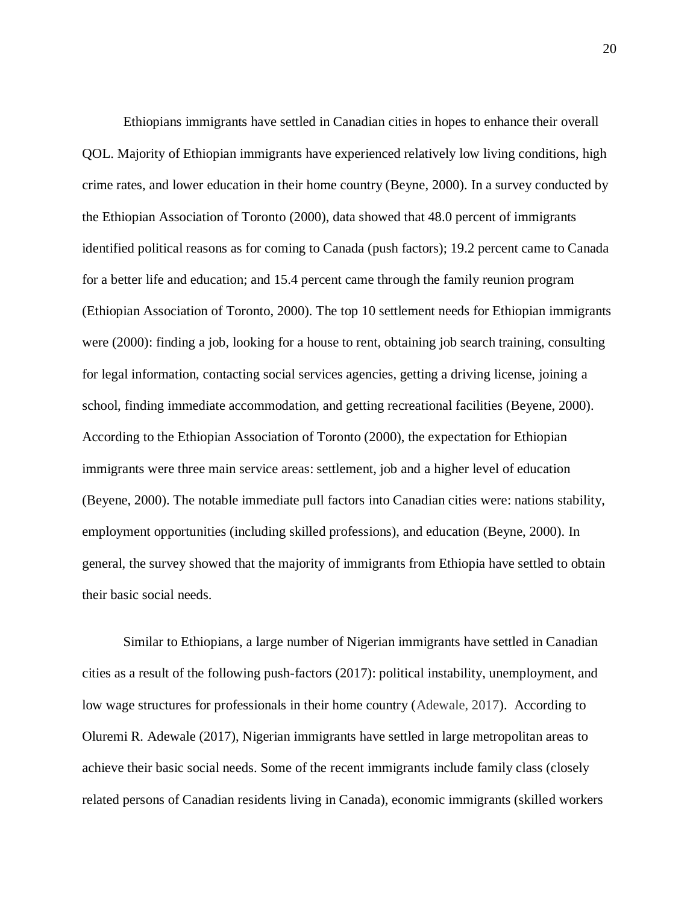Ethiopians immigrants have settled in Canadian cities in hopes to enhance their overall QOL. Majority of Ethiopian immigrants have experienced relatively low living conditions, high crime rates, and lower education in their home country (Beyne, 2000). In a survey conducted by the Ethiopian Association of Toronto (2000), data showed that 48.0 percent of immigrants identified political reasons as for coming to Canada (push factors); 19.2 percent came to Canada for a better life and education; and 15.4 percent came through the family reunion program (Ethiopian Association of Toronto, 2000). The top 10 settlement needs for Ethiopian immigrants were (2000): finding a job, looking for a house to rent, obtaining job search training, consulting for legal information, contacting social services agencies, getting a driving license, joining a school, finding immediate accommodation, and getting recreational facilities (Beyene, 2000). According to the Ethiopian Association of Toronto (2000), the expectation for Ethiopian immigrants were three main service areas: settlement, job and a higher level of education (Beyene, 2000). The notable immediate pull factors into Canadian cities were: nations stability, employment opportunities (including skilled professions), and education (Beyne, 2000). In general, the survey showed that the majority of immigrants from Ethiopia have settled to obtain their basic social needs.

Similar to Ethiopians, a large number of Nigerian immigrants have settled in Canadian cities as a result of the following push-factors (2017): political instability, unemployment, and low wage structures for professionals in their home country (Adewale, 2017). According to Oluremi R. Adewale (2017), Nigerian immigrants have settled in large metropolitan areas to achieve their basic social needs. Some of the recent immigrants include family class (closely related persons of Canadian residents living in Canada), economic immigrants (skilled workers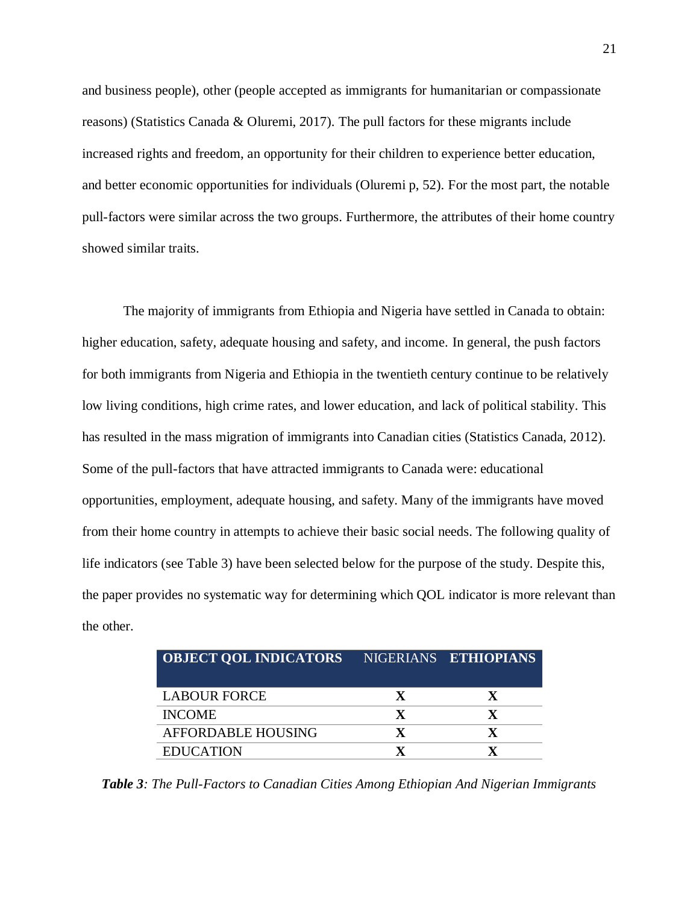and business people), other (people accepted as immigrants for humanitarian or compassionate reasons) (Statistics Canada & Oluremi, 2017). The pull factors for these migrants include increased rights and freedom, an opportunity for their children to experience better education, and better economic opportunities for individuals (Oluremi p, 52). For the most part, the notable pull-factors were similar across the two groups. Furthermore, the attributes of their home country showed similar traits.

The majority of immigrants from Ethiopia and Nigeria have settled in Canada to obtain: higher education, safety, adequate housing and safety, and income. In general, the push factors for both immigrants from Nigeria and Ethiopia in the twentieth century continue to be relatively low living conditions, high crime rates, and lower education, and lack of political stability. This has resulted in the mass migration of immigrants into Canadian cities (Statistics Canada, 2012). Some of the pull-factors that have attracted immigrants to Canada were: educational opportunities, employment, adequate housing, and safety. Many of the immigrants have moved from their home country in attempts to achieve their basic social needs. The following quality of life indicators (see Table 3) have been selected below for the purpose of the study. Despite this, the paper provides no systematic way for determining which QOL indicator is more relevant than the other.

| <b>OBJECT QOL INDICATORS</b> | NIGERIANS ETHIOPIANS |
|------------------------------|----------------------|
| <b>LABOUR FORCE</b>          |                      |
| <b>INCOME</b>                |                      |
| AFFORDABLE HOUSING           |                      |
| <b>EDUCATION</b>             |                      |

*Table 3: The Pull-Factors to Canadian Cities Among Ethiopian And Nigerian Immigrants*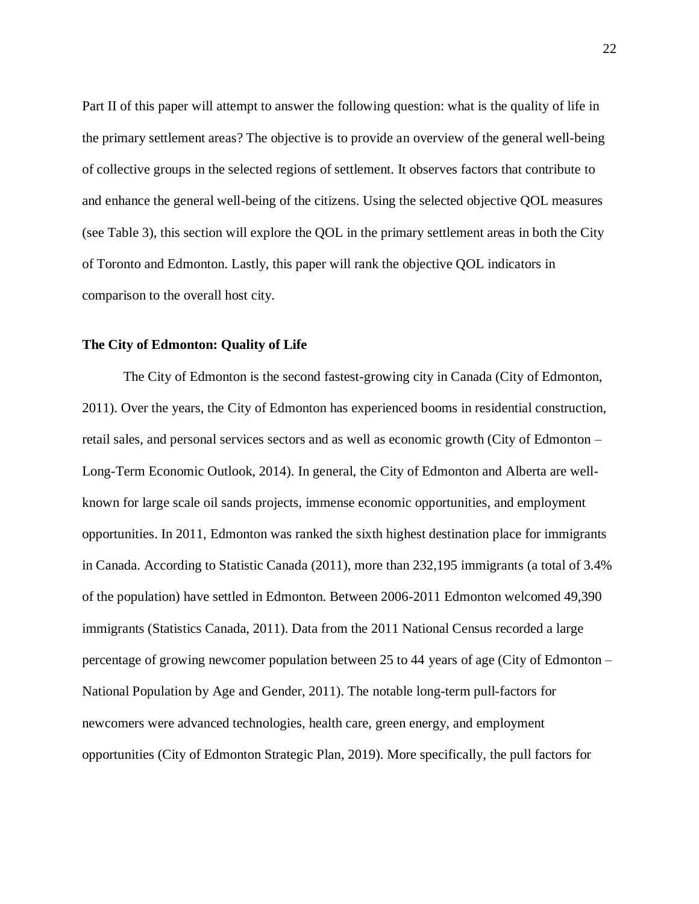Part II of this paper will attempt to answer the following question: what is the quality of life in the primary settlement areas? The objective is to provide an overview of the general well-being of collective groups in the selected regions of settlement. It observes factors that contribute to and enhance the general well-being of the citizens. Using the selected objective QOL measures (see Table 3), this section will explore the QOL in the primary settlement areas in both the City of Toronto and Edmonton. Lastly, this paper will rank the objective QOL indicators in comparison to the overall host city.

#### <span id="page-22-0"></span>**The City of Edmonton: Quality of Life**

The City of Edmonton is the second fastest-growing city in Canada (City of Edmonton, 2011). Over the years, the City of Edmonton has experienced booms in residential construction, retail sales, and personal services sectors and as well as economic growth (City of Edmonton – Long-Term Economic Outlook, 2014). In general, the City of Edmonton and Alberta are wellknown for large scale oil sands projects, immense economic opportunities, and employment opportunities. In 2011, Edmonton was ranked the sixth highest destination place for immigrants in Canada. According to Statistic Canada (2011), more than 232,195 immigrants (a total of 3.4% of the population) have settled in Edmonton. Between 2006-2011 Edmonton welcomed 49,390 immigrants (Statistics Canada, 2011). Data from the 2011 National Census recorded a large percentage of growing newcomer population between 25 to 44 years of age (City of Edmonton – National Population by Age and Gender, 2011). The notable long-term pull-factors for newcomers were advanced technologies, health care, green energy, and employment opportunities (City of Edmonton Strategic Plan, 2019). More specifically, the pull factors for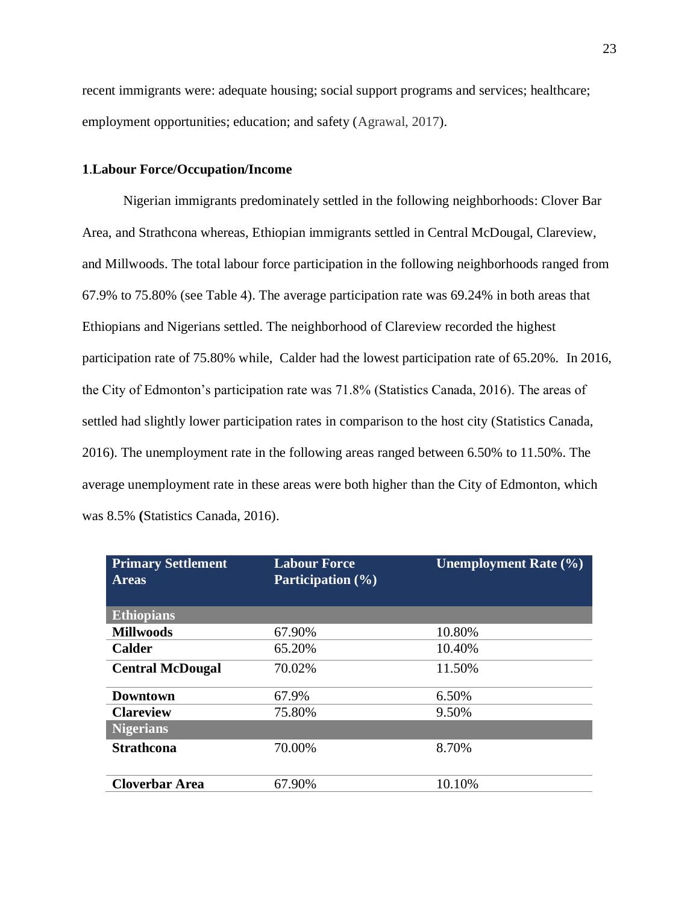recent immigrants were: adequate housing; social support programs and services; healthcare; employment opportunities; education; and safety (Agrawal, 2017).

## **1**.**Labour Force/Occupation/Income**

Nigerian immigrants predominately settled in the following neighborhoods: Clover Bar Area, and Strathcona whereas, Ethiopian immigrants settled in Central McDougal, Clareview, and Millwoods. The total labour force participation in the following neighborhoods ranged from 67.9% to 75.80% (see Table 4). The average participation rate was 69.24% in both areas that Ethiopians and Nigerians settled. The neighborhood of Clareview recorded the highest participation rate of 75.80% while, Calder had the lowest participation rate of 65.20%. In 2016, the City of Edmonton's participation rate was 71.8% (Statistics Canada, 2016). The areas of settled had slightly lower participation rates in comparison to the host city (Statistics Canada, 2016). The unemployment rate in the following areas ranged between 6.50% to 11.50%. The average unemployment rate in these areas were both higher than the City of Edmonton, which was 8.5% **(**Statistics Canada, 2016).

| <b>Primary Settlement</b><br><b>Areas</b> | <b>Labour Force</b><br><b>Participation</b> (%) | <b>Unemployment Rate (%)</b> |
|-------------------------------------------|-------------------------------------------------|------------------------------|
| <b>Ethiopians</b>                         |                                                 |                              |
| <b>Millwoods</b>                          | 67.90%                                          | 10.80%                       |
| <b>Calder</b>                             | 65.20%                                          | 10.40%                       |
| <b>Central McDougal</b>                   | 70.02%                                          | 11.50%                       |
| <b>Downtown</b>                           | 67.9%                                           | 6.50%                        |
| <b>Clareview</b>                          | 75.80%                                          | 9.50%                        |
| <b>Nigerians</b>                          |                                                 |                              |
| <b>Strathcona</b>                         | 70.00%                                          | 8.70%                        |
| <b>Cloverbar Area</b>                     | 67.90%                                          | 10.10%                       |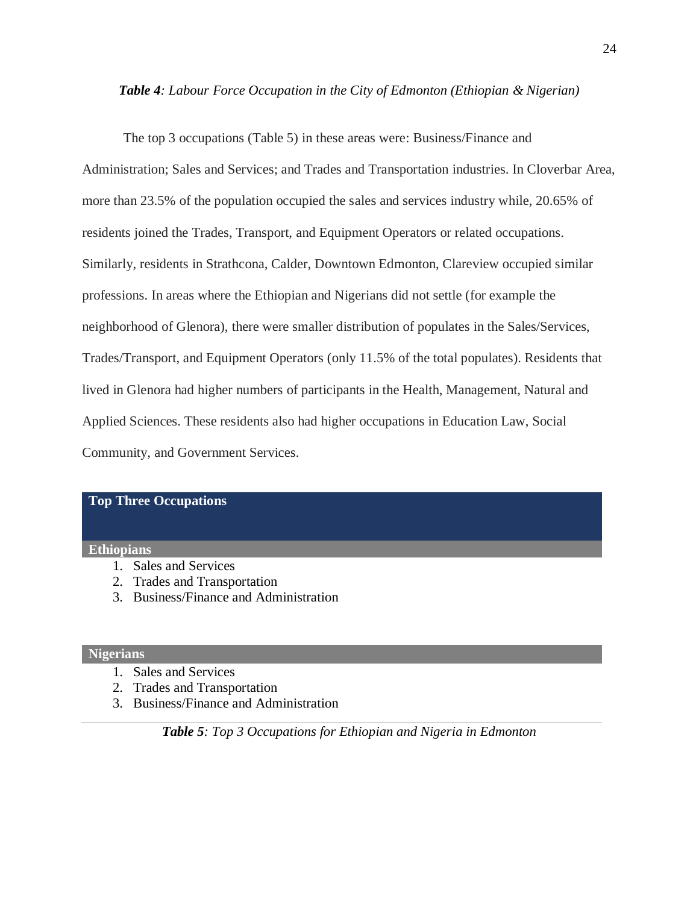#### *Table 4: Labour Force Occupation in the City of Edmonton (Ethiopian & Nigerian)*

The top 3 occupations (Table 5) in these areas were: Business/Finance and Administration; Sales and Services; and Trades and Transportation industries. In Cloverbar Area, more than 23.5% of the population occupied the sales and services industry while, 20.65% of residents joined the Trades, Transport, and Equipment Operators or related occupations. Similarly, residents in Strathcona, Calder, Downtown Edmonton, Clareview occupied similar professions. In areas where the Ethiopian and Nigerians did not settle (for example the neighborhood of Glenora), there were smaller distribution of populates in the Sales/Services, Trades/Transport, and Equipment Operators (only 11.5% of the total populates). Residents that lived in Glenora had higher numbers of participants in the Health, Management, Natural and Applied Sciences. These residents also had higher occupations in Education Law, Social Community, and Government Services.

#### **Top Three Occupations**

#### **Ethiopians**

- 1. Sales and Services
- 2. Trades and Transportation
- 3. Business/Finance and Administration

#### **Nigerians**

- 1. Sales and Services
- 2. Trades and Transportation
- 3. Business/Finance and Administration

*Table 5: Top 3 Occupations for Ethiopian and Nigeria in Edmonton*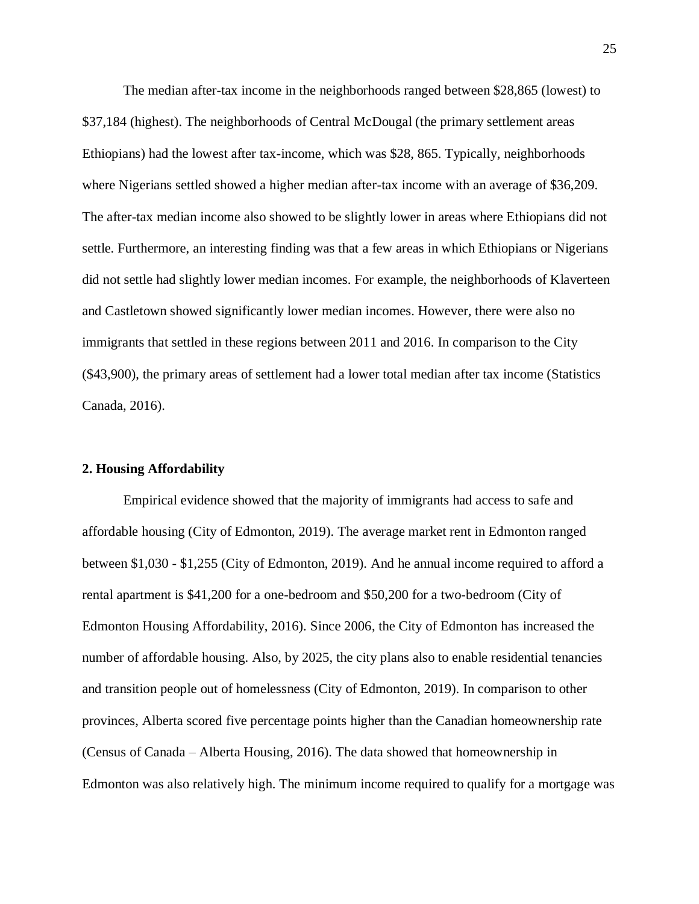The median after-tax income in the neighborhoods ranged between \$28,865 (lowest) to \$37,184 (highest). The neighborhoods of Central McDougal (the primary settlement areas Ethiopians) had the lowest after tax-income, which was \$28, 865. Typically, neighborhoods where Nigerians settled showed a higher median after-tax income with an average of \$36,209. The after-tax median income also showed to be slightly lower in areas where Ethiopians did not settle. Furthermore, an interesting finding was that a few areas in which Ethiopians or Nigerians did not settle had slightly lower median incomes. For example, the neighborhoods of Klaverteen and Castletown showed significantly lower median incomes. However, there were also no immigrants that settled in these regions between 2011 and 2016. In comparison to the City (\$43,900), the primary areas of settlement had a lower total median after tax income (Statistics Canada, 2016).

#### **2. Housing Affordability**

Empirical evidence showed that the majority of immigrants had access to safe and affordable housing (City of Edmonton, 2019). The average market rent in Edmonton ranged between \$1,030 - \$1,255 (City of Edmonton, 2019). And he annual income required to afford a rental apartment is \$41,200 for a one-bedroom and \$50,200 for a two-bedroom (City of Edmonton Housing Affordability, 2016). Since 2006, the City of Edmonton has increased the number of affordable housing. Also, by 2025, the city plans also to enable residential tenancies and transition people out of homelessness (City of Edmonton, 2019). In comparison to other provinces, Alberta scored five percentage points higher than the Canadian homeownership rate (Census of Canada – Alberta Housing, 2016). The data showed that homeownership in Edmonton was also relatively high. The minimum income required to qualify for a mortgage was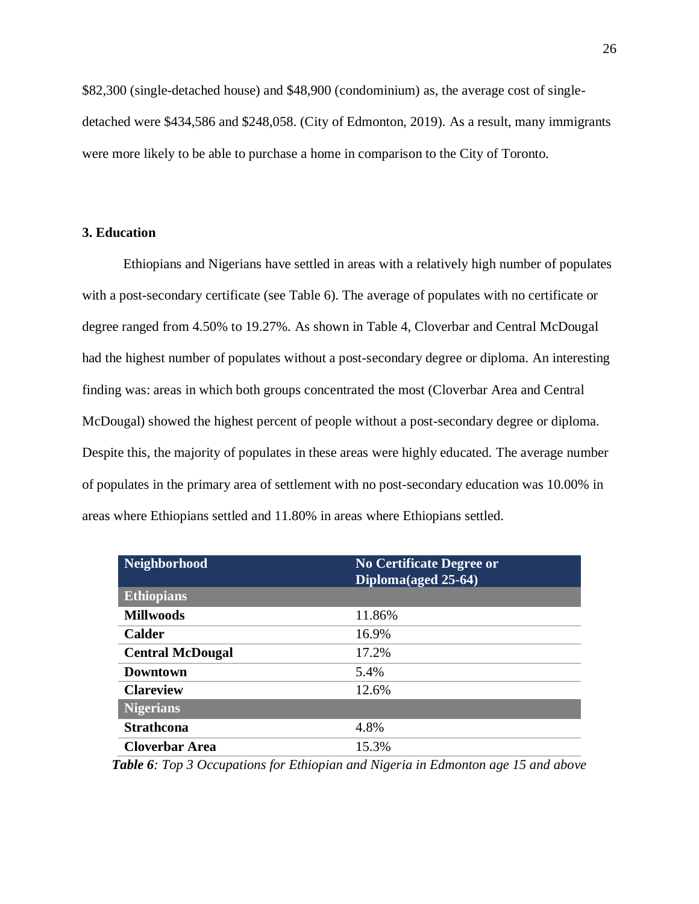\$82,300 (single-detached house) and \$48,900 (condominium) as, the average cost of singledetached were \$434,586 and \$248,058. (City of Edmonton, 2019). As a result, many immigrants were more likely to be able to purchase a home in comparison to the City of Toronto.

## **3. Education**

Ethiopians and Nigerians have settled in areas with a relatively high number of populates with a post-secondary certificate (see Table 6). The average of populates with no certificate or degree ranged from 4.50% to 19.27%. As shown in Table 4, Cloverbar and Central McDougal had the highest number of populates without a post-secondary degree or diploma. An interesting finding was: areas in which both groups concentrated the most (Cloverbar Area and Central McDougal) showed the highest percent of people without a post-secondary degree or diploma. Despite this, the majority of populates in these areas were highly educated. The average number of populates in the primary area of settlement with no post-secondary education was 10.00% in areas where Ethiopians settled and 11.80% in areas where Ethiopians settled.

| <b>Neighborhood</b>     | <b>No Certificate Degree or</b><br>Diploma(aged 25-64) |
|-------------------------|--------------------------------------------------------|
| <b>Ethiopians</b>       |                                                        |
| <b>Millwoods</b>        | 11.86%                                                 |
| <b>Calder</b>           | 16.9%                                                  |
| <b>Central McDougal</b> | 17.2%                                                  |
| <b>Downtown</b>         | 5.4%                                                   |
| <b>Clareview</b>        | 12.6%                                                  |
| <b>Nigerians</b>        |                                                        |
| <b>Strathcona</b>       | 4.8%                                                   |
| <b>Cloverbar Area</b>   | 15.3%                                                  |

*Table 6: Top 3 Occupations for Ethiopian and Nigeria in Edmonton age 15 and above*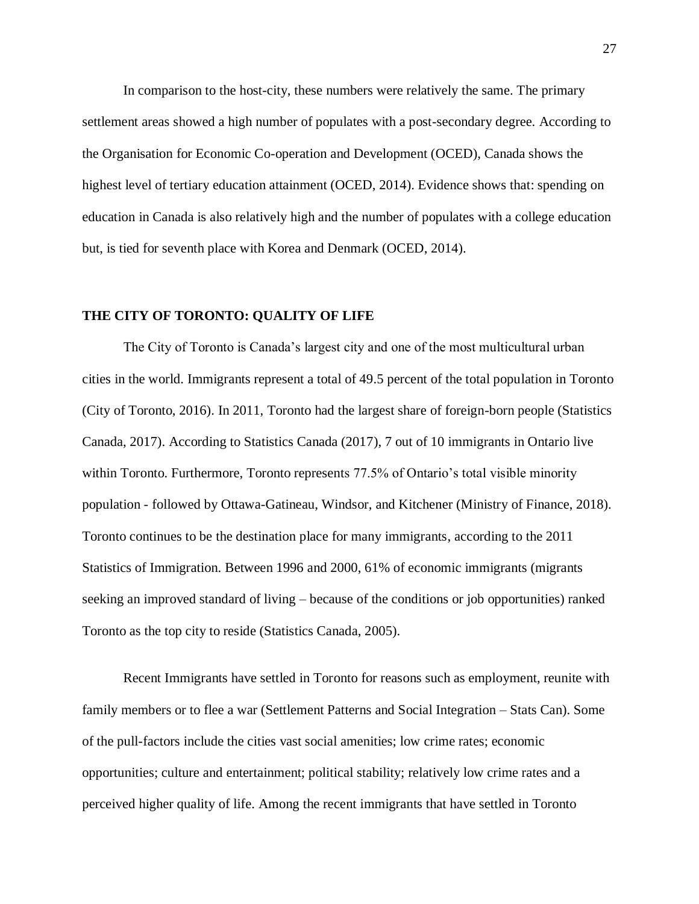In comparison to the host-city, these numbers were relatively the same. The primary settlement areas showed a high number of populates with a post-secondary degree. According to the Organisation for Economic Co-operation and Development (OCED), Canada shows the highest level of tertiary education attainment (OCED, 2014). Evidence shows that: spending on education in Canada is also relatively high and the number of populates with a college education but, is tied for seventh place with Korea and Denmark (OCED, 2014).

#### <span id="page-27-0"></span>**THE CITY OF TORONTO: QUALITY OF LIFE**

The City of Toronto is Canada's largest city and one of the most multicultural urban cities in the world. Immigrants represent a total of 49.5 percent of the total population in Toronto (City of Toronto, 2016). In 2011, Toronto had the largest share of foreign-born people (Statistics Canada, 2017). According to Statistics Canada (2017), 7 out of 10 immigrants in Ontario live within Toronto. Furthermore, Toronto represents 77.5% of Ontario's total visible minority population - followed by Ottawa-Gatineau, Windsor, and Kitchener (Ministry of Finance, 2018). Toronto continues to be the destination place for many immigrants, according to the 2011 Statistics of Immigration. Between 1996 and 2000, 61% of economic immigrants (migrants seeking an improved standard of living – because of the conditions or job opportunities) ranked Toronto as the top city to reside (Statistics Canada, 2005).

Recent Immigrants have settled in Toronto for reasons such as employment, reunite with family members or to flee a war (Settlement Patterns and Social Integration – Stats Can). Some of the pull-factors include the cities vast social amenities; low crime rates; economic opportunities; culture and entertainment; political stability; relatively low crime rates and a perceived higher quality of life. Among the recent immigrants that have settled in Toronto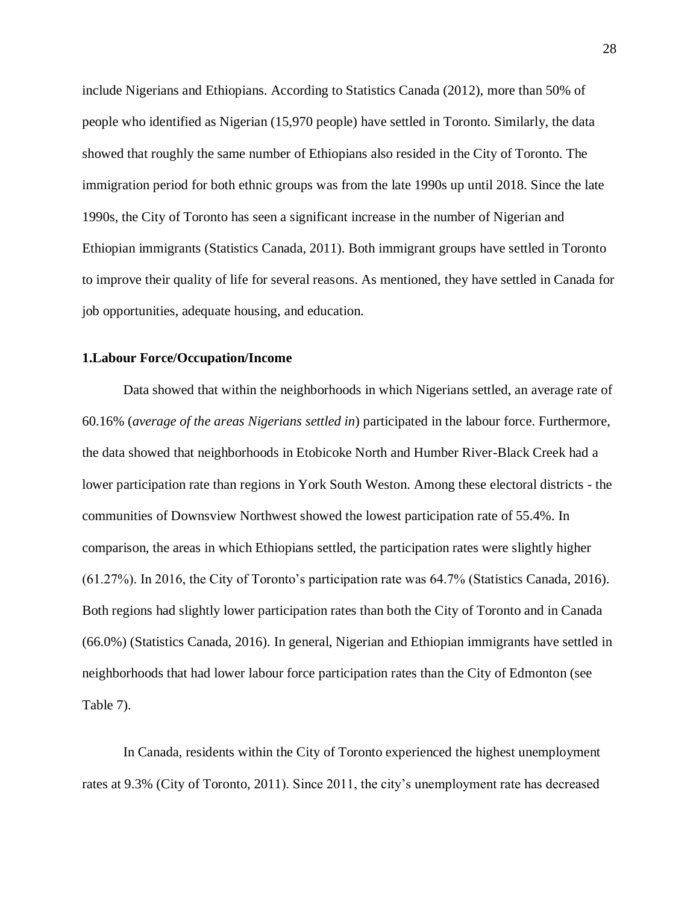include Nigerians and Ethiopians. According to Statistics Canada (2012), more than 50% of people who identified as Nigerian (15,970 people) have settled in Toronto. Similarly, the data showed that roughly the same number of Ethiopians also resided in the City of Toronto. The immigration period for both ethnic groups was from the late 1990s up until 2018. Since the late 1990s, the City of Toronto has seen a significant increase in the number of Nigerian and Ethiopian immigrants (Statistics Canada, 2011). Both immigrant groups have settled in Toronto to improve their quality of life for several reasons. As mentioned, they have settled in Canada for job opportunities, adequate housing, and education.

#### **1.Labour Force/Occupation/Income**

Data showed that within the neighborhoods in which Nigerians settled, an average rate of 60.16% (*average of the areas Nigerians settled in*) participated in the labour force. Furthermore, the data showed that neighborhoods in Etobicoke North and Humber River-Black Creek had a lower participation rate than regions in York South Weston. Among these electoral districts - the communities of Downsview Northwest showed the lowest participation rate of 55.4%. In comparison, the areas in which Ethiopians settled, the participation rates were slightly higher (61.27%). In 2016, the City of Toronto's participation rate was 64.7% (Statistics Canada, 2016). Both regions had slightly lower participation rates than both the City of Toronto and in Canada (66.0%) (Statistics Canada, 2016). In general, Nigerian and Ethiopian immigrants have settled in neighborhoods that had lower labour force participation rates than the City of Edmonton (see Table 7).

In Canada, residents within the City of Toronto experienced the highest unemployment rates at 9.3% (City of Toronto, 2011). Since 2011, the city's unemployment rate has decreased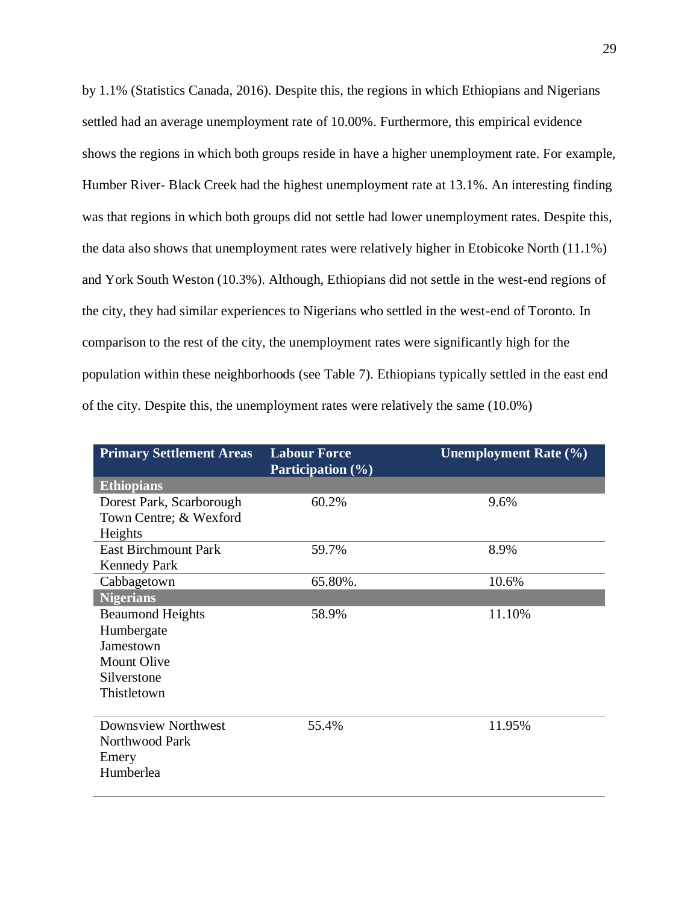by 1.1% (Statistics Canada, 2016). Despite this, the regions in which Ethiopians and Nigerians settled had an average unemployment rate of 10.00%. Furthermore, this empirical evidence shows the regions in which both groups reside in have a higher unemployment rate. For example, Humber River- Black Creek had the highest unemployment rate at 13.1%. An interesting finding was that regions in which both groups did not settle had lower unemployment rates. Despite this, the data also shows that unemployment rates were relatively higher in Etobicoke North (11.1%) and York South Weston (10.3%). Although, Ethiopians did not settle in the west-end regions of the city, they had similar experiences to Nigerians who settled in the west-end of Toronto. In comparison to the rest of the city, the unemployment rates were significantly high for the population within these neighborhoods (see Table 7). Ethiopians typically settled in the east end of the city. Despite this, the unemployment rates were relatively the same (10.0%)

| <b>Primary Settlement Areas</b> | <b>Labour Force</b><br><b>Participation</b> (%) | <b>Unemployment Rate (%)</b> |
|---------------------------------|-------------------------------------------------|------------------------------|
| <b>Ethiopians</b>               |                                                 |                              |
| Dorest Park, Scarborough        | 60.2%                                           | 9.6%                         |
| Town Centre; & Wexford          |                                                 |                              |
| Heights                         |                                                 |                              |
| <b>East Birchmount Park</b>     | 59.7%                                           | 8.9%                         |
| <b>Kennedy Park</b>             |                                                 |                              |
| Cabbagetown                     | 65.80%.                                         | 10.6%                        |
| <b>Nigerians</b>                |                                                 |                              |
| <b>Beaumond Heights</b>         | 58.9%                                           | 11.10%                       |
| Humbergate                      |                                                 |                              |
| Jamestown                       |                                                 |                              |
| <b>Mount Olive</b>              |                                                 |                              |
| Silverstone                     |                                                 |                              |
| Thistletown                     |                                                 |                              |
|                                 |                                                 |                              |
| <b>Downsview Northwest</b>      | 55.4%                                           | 11.95%                       |
| Northwood Park                  |                                                 |                              |
| Emery                           |                                                 |                              |
| Humberlea                       |                                                 |                              |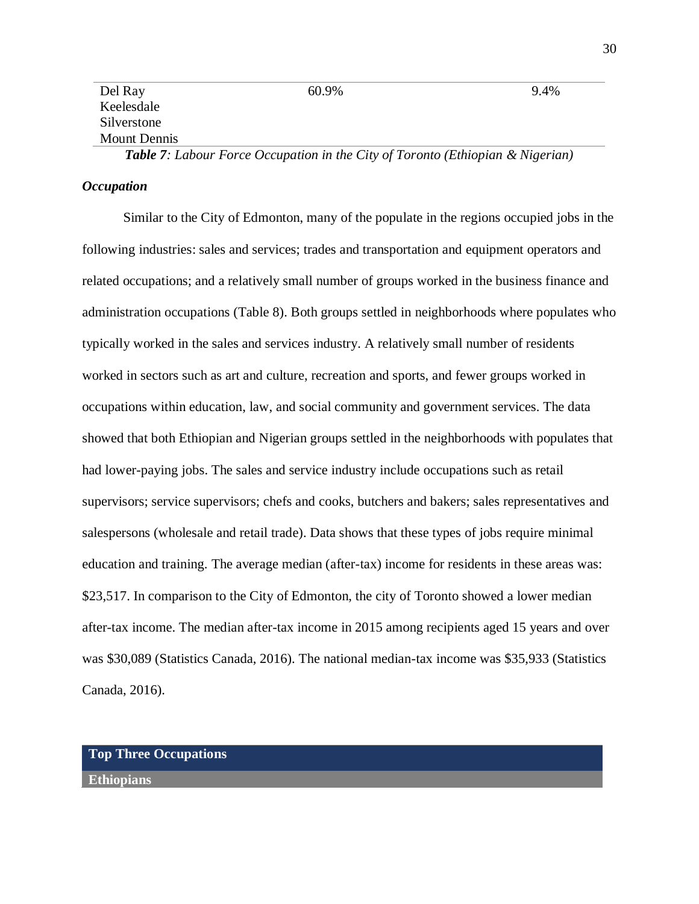| Del Ray      | $60.9\%$                                                                              | $9.4\%$ |
|--------------|---------------------------------------------------------------------------------------|---------|
| Keelesdale   |                                                                                       |         |
| Silverstone  |                                                                                       |         |
| Mount Dennis |                                                                                       |         |
|              | <b>Table 7:</b> Labour Force Occupation in the City of Toronto (Ethiopian & Nigerian) |         |

#### *Occupation*

Similar to the City of Edmonton, many of the populate in the regions occupied jobs in the following industries: sales and services; trades and transportation and equipment operators and related occupations; and a relatively small number of groups worked in the business finance and administration occupations (Table 8). Both groups settled in neighborhoods where populates who typically worked in the sales and services industry. A relatively small number of residents worked in sectors such as art and culture, recreation and sports, and fewer groups worked in occupations within education, law, and social community and government services. The data showed that both Ethiopian and Nigerian groups settled in the neighborhoods with populates that had lower-paying jobs. The sales and service industry include occupations such as retail supervisors; service supervisors; chefs and cooks, butchers and bakers; sales representatives and salespersons (wholesale and retail trade). Data shows that these types of jobs require minimal education and training. The average median (after-tax) income for residents in these areas was: \$23,517. In comparison to the City of Edmonton, the city of Toronto showed a lower median after-tax income. The median after-tax income in 2015 among recipients aged 15 years and over was \$30,089 (Statistics Canada, 2016). The national median-tax income was \$35,933 (Statistics Canada, 2016).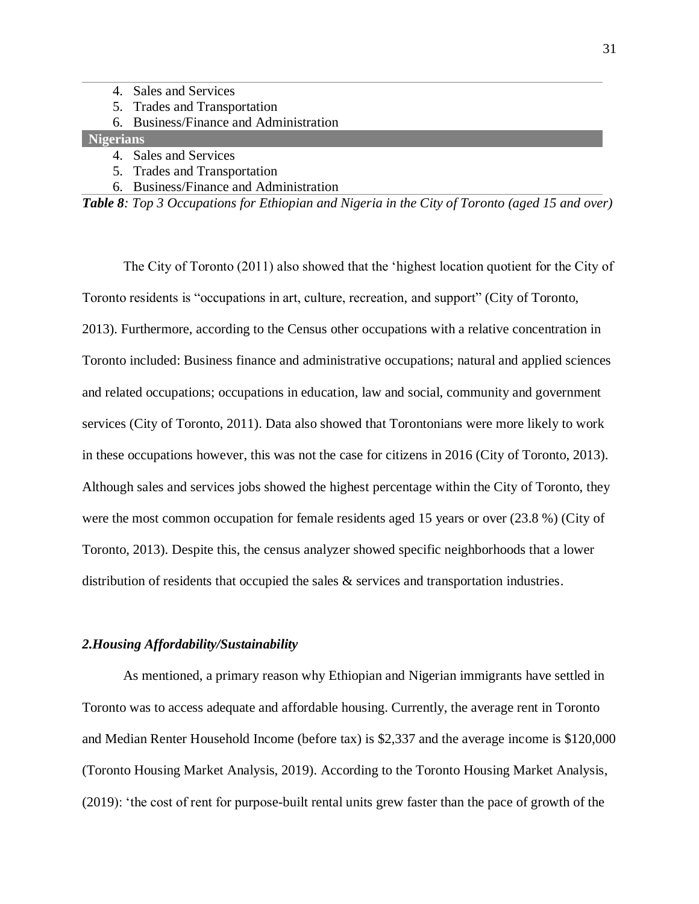- 4. Sales and Services
- 5. Trades and Transportation
- 6. Business/Finance and Administration

## **Nigerians**

- 4. Sales and Services
- 5. Trades and Transportation
- 6. Business/Finance and Administration

*Table 8: Top 3 Occupations for Ethiopian and Nigeria in the City of Toronto (aged 15 and over)*

The City of Toronto (2011) also showed that the 'highest location quotient for the City of Toronto residents is "occupations in art, culture, recreation, and support" (City of Toronto, 2013). Furthermore, according to the Census other occupations with a relative concentration in Toronto included: Business finance and administrative occupations; natural and applied sciences and related occupations; occupations in education, law and social, community and government services (City of Toronto, 2011). Data also showed that Torontonians were more likely to work in these occupations however, this was not the case for citizens in 2016 (City of Toronto, 2013). Although sales and services jobs showed the highest percentage within the City of Toronto, they were the most common occupation for female residents aged 15 years or over (23.8 %) (City of Toronto, 2013). Despite this, the census analyzer showed specific neighborhoods that a lower distribution of residents that occupied the sales & services and transportation industries.

#### *2.Housing Affordability/Sustainability*

As mentioned, a primary reason why Ethiopian and Nigerian immigrants have settled in Toronto was to access adequate and affordable housing. Currently, the average rent in Toronto and Median Renter Household Income (before tax) is \$2,337 and the average income is \$120,000 (Toronto Housing Market Analysis, 2019). According to the Toronto Housing Market Analysis, (2019): 'the cost of rent for purpose-built rental units grew faster than the pace of growth of the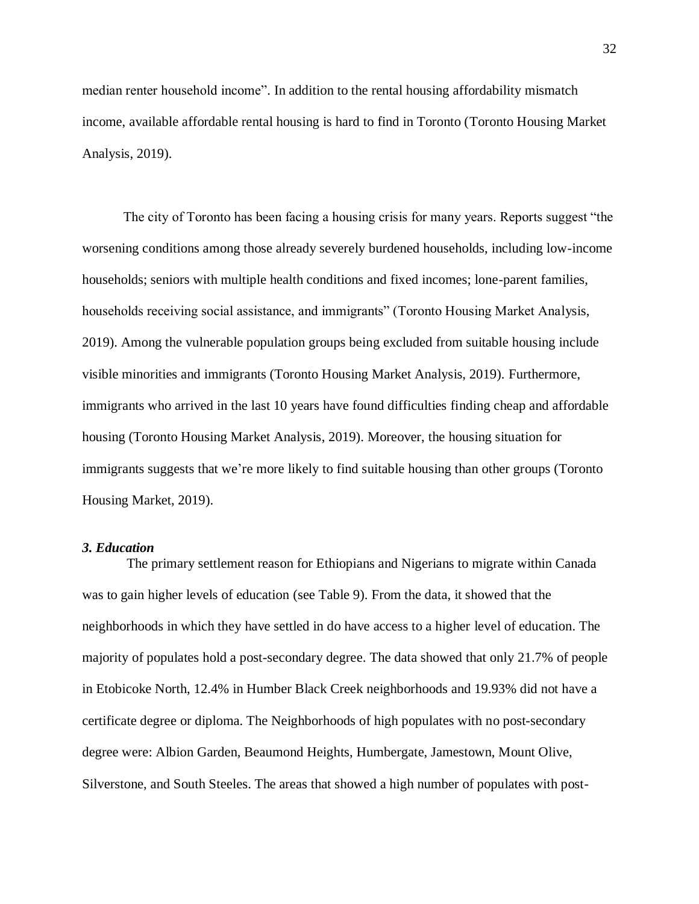median renter household income". In addition to the rental housing affordability mismatch income, available affordable rental housing is hard to find in Toronto (Toronto Housing Market Analysis, 2019).

The city of Toronto has been facing a housing crisis for many years. Reports suggest "the worsening conditions among those already severely burdened households, including low-income households; seniors with multiple health conditions and fixed incomes; lone-parent families, households receiving social assistance, and immigrants" (Toronto Housing Market Analysis, 2019). Among the vulnerable population groups being excluded from suitable housing include visible minorities and immigrants (Toronto Housing Market Analysis, 2019). Furthermore, immigrants who arrived in the last 10 years have found difficulties finding cheap and affordable housing (Toronto Housing Market Analysis, 2019). Moreover, the housing situation for immigrants suggests that we're more likely to find suitable housing than other groups (Toronto Housing Market, 2019).

#### *3. Education*

The primary settlement reason for Ethiopians and Nigerians to migrate within Canada was to gain higher levels of education (see Table 9). From the data, it showed that the neighborhoods in which they have settled in do have access to a higher level of education. The majority of populates hold a post-secondary degree. The data showed that only 21.7% of people in Etobicoke North, 12.4% in Humber Black Creek neighborhoods and 19.93% did not have a certificate degree or diploma. The Neighborhoods of high populates with no post-secondary degree were: Albion Garden, Beaumond Heights, Humbergate, Jamestown, Mount Olive, Silverstone, and South Steeles. The areas that showed a high number of populates with post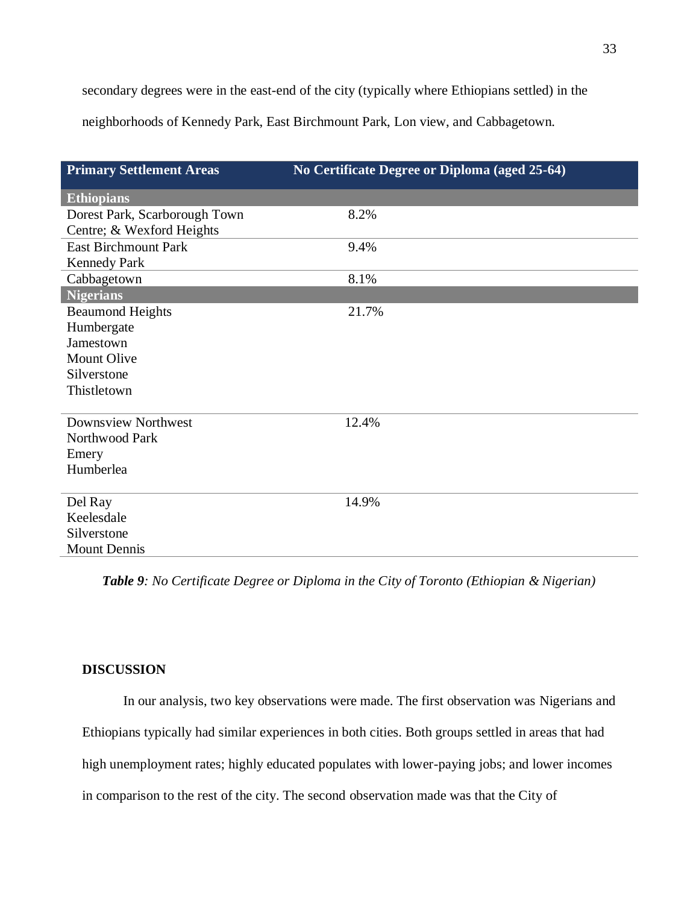secondary degrees were in the east-end of the city (typically where Ethiopians settled) in the

neighborhoods of Kennedy Park, East Birchmount Park, Lon view, and Cabbagetown.

| <b>Primary Settlement Areas</b> | No Certificate Degree or Diploma (aged 25-64) |
|---------------------------------|-----------------------------------------------|
| <b>Ethiopians</b>               |                                               |
| Dorest Park, Scarborough Town   | 8.2%                                          |
| Centre; & Wexford Heights       |                                               |
| <b>East Birchmount Park</b>     | 9.4%                                          |
| <b>Kennedy Park</b>             |                                               |
| Cabbagetown                     | 8.1%                                          |
| Nigerians                       |                                               |
| <b>Beaumond Heights</b>         | 21.7%                                         |
| Humbergate                      |                                               |
| Jamestown                       |                                               |
| <b>Mount Olive</b>              |                                               |
| Silverstone                     |                                               |
| Thistletown                     |                                               |
| Downsview Northwest             | 12.4%                                         |
| Northwood Park                  |                                               |
| Emery                           |                                               |
| Humberlea                       |                                               |
|                                 |                                               |
| Del Ray                         | 14.9%                                         |
| Keelesdale                      |                                               |
| Silverstone                     |                                               |
| <b>Mount Dennis</b>             |                                               |

*Table 9: No Certificate Degree or Diploma in the City of Toronto (Ethiopian & Nigerian)*

## <span id="page-33-0"></span>**DISCUSSION**

In our analysis, two key observations were made. The first observation was Nigerians and Ethiopians typically had similar experiences in both cities. Both groups settled in areas that had high unemployment rates; highly educated populates with lower-paying jobs; and lower incomes in comparison to the rest of the city. The second observation made was that the City of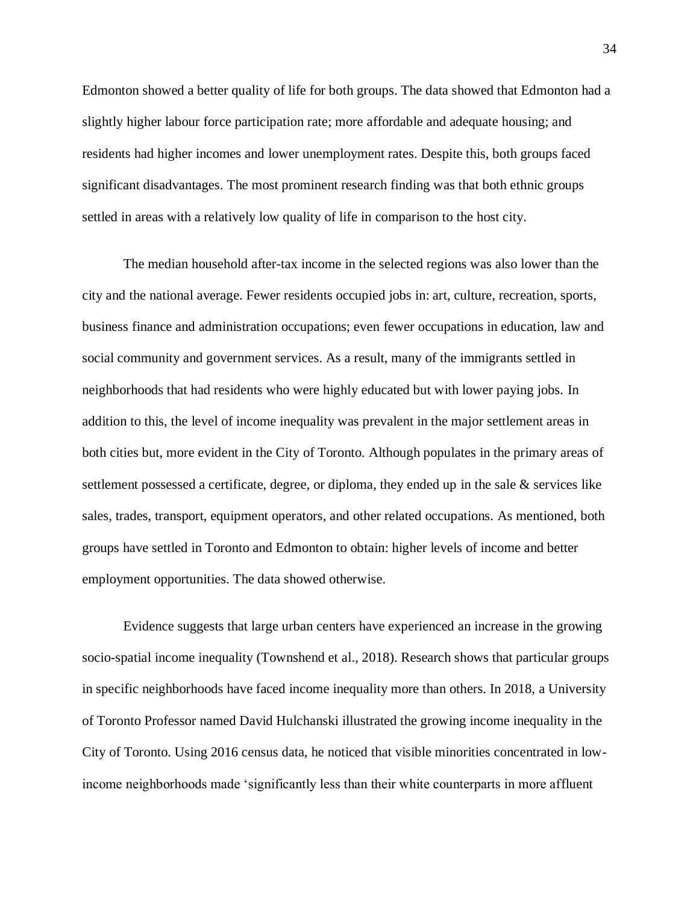Edmonton showed a better quality of life for both groups. The data showed that Edmonton had a slightly higher labour force participation rate; more affordable and adequate housing; and residents had higher incomes and lower unemployment rates. Despite this, both groups faced significant disadvantages. The most prominent research finding was that both ethnic groups settled in areas with a relatively low quality of life in comparison to the host city.

The median household after-tax income in the selected regions was also lower than the city and the national average. Fewer residents occupied jobs in: art, culture, recreation, sports, business finance and administration occupations; even fewer occupations in education, law and social community and government services. As a result, many of the immigrants settled in neighborhoods that had residents who were highly educated but with lower paying jobs. In addition to this, the level of income inequality was prevalent in the major settlement areas in both cities but, more evident in the City of Toronto. Although populates in the primary areas of settlement possessed a certificate, degree, or diploma, they ended up in the sale & services like sales, trades, transport, equipment operators, and other related occupations. As mentioned, both groups have settled in Toronto and Edmonton to obtain: higher levels of income and better employment opportunities. The data showed otherwise.

Evidence suggests that large urban centers have experienced an increase in the growing socio-spatial income inequality (Townshend et al., 2018). Research shows that particular groups in specific neighborhoods have faced income inequality more than others. In 2018, a University of Toronto Professor named David Hulchanski illustrated the growing income inequality in the City of Toronto. Using 2016 census data, he noticed that visible minorities concentrated in lowincome neighborhoods made 'significantly less than their white counterparts in more affluent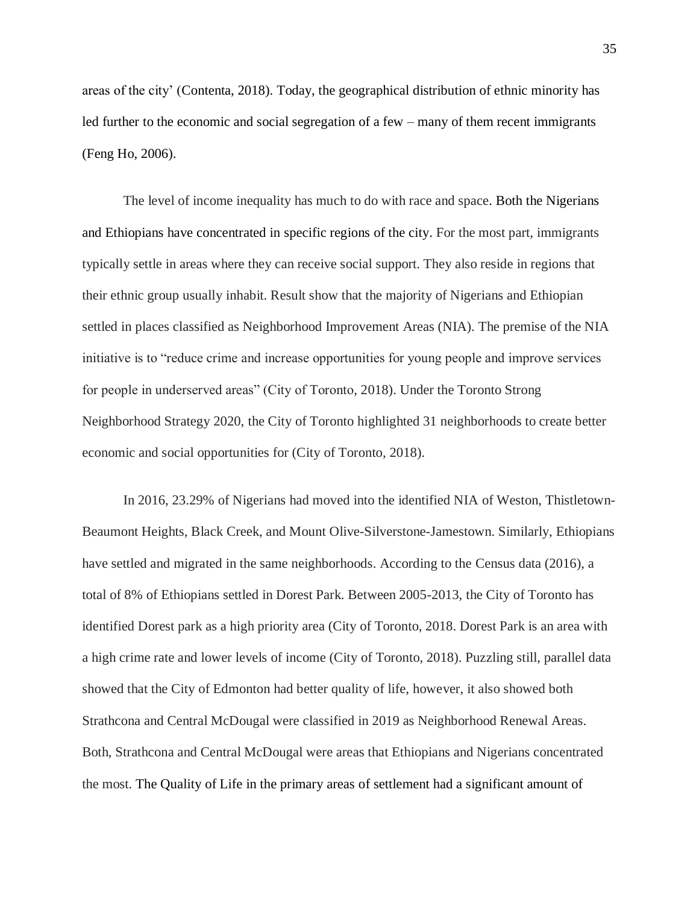areas of the city' (Contenta, 2018). Today, the geographical distribution of ethnic minority has led further to the economic and social segregation of a few – many of them recent immigrants (Feng Ho, 2006).

The level of income inequality has much to do with race and space. Both the Nigerians and Ethiopians have concentrated in specific regions of the city. For the most part, immigrants typically settle in areas where they can receive social support. They also reside in regions that their ethnic group usually inhabit. Result show that the majority of Nigerians and Ethiopian settled in places classified as Neighborhood Improvement Areas (NIA). The premise of the NIA initiative is to "reduce crime and increase opportunities for young people and improve services for people in underserved areas" (City of Toronto, 2018). Under the Toronto Strong Neighborhood Strategy 2020, the City of Toronto highlighted 31 neighborhoods to create better economic and social opportunities for (City of Toronto, 2018).

In 2016, 23.29% of Nigerians had moved into the identified NIA of Weston, Thistletown-Beaumont Heights, Black Creek, and Mount Olive-Silverstone-Jamestown. Similarly, Ethiopians have settled and migrated in the same neighborhoods. According to the Census data (2016), a total of 8% of Ethiopians settled in Dorest Park. Between 2005-2013, the City of Toronto has identified Dorest park as a high priority area (City of Toronto, 2018. Dorest Park is an area with a high crime rate and lower levels of income (City of Toronto, 2018). Puzzling still, parallel data showed that the City of Edmonton had better quality of life, however, it also showed both Strathcona and Central McDougal were classified in 2019 as Neighborhood Renewal Areas. Both, Strathcona and Central McDougal were areas that Ethiopians and Nigerians concentrated the most. The Quality of Life in the primary areas of settlement had a significant amount of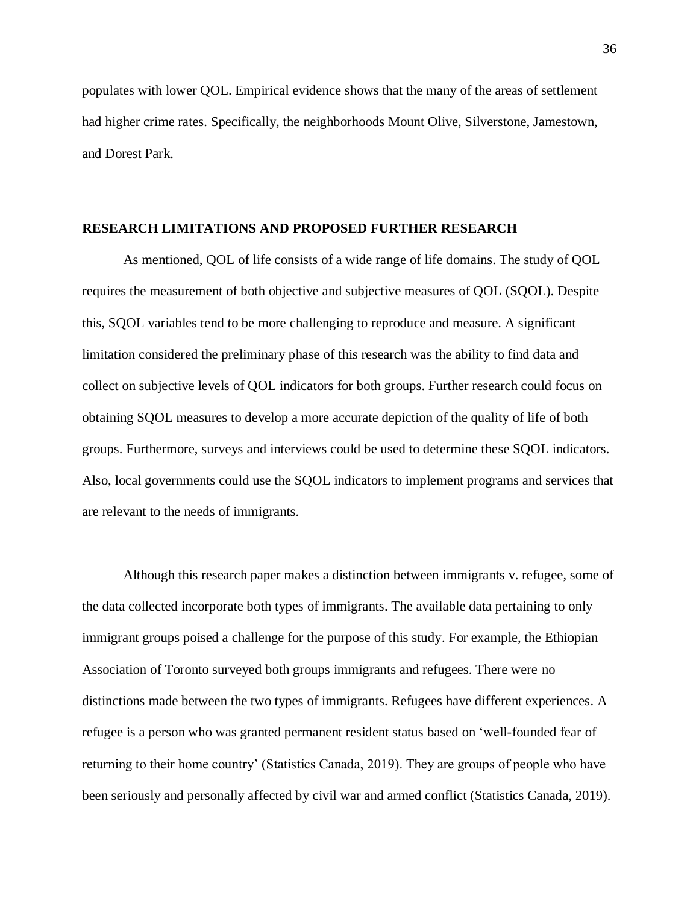populates with lower QOL. Empirical evidence shows that the many of the areas of settlement had higher crime rates. Specifically, the neighborhoods Mount Olive, Silverstone, Jamestown, and Dorest Park.

#### <span id="page-36-0"></span>**RESEARCH LIMITATIONS AND PROPOSED FURTHER RESEARCH**

As mentioned, QOL of life consists of a wide range of life domains. The study of QOL requires the measurement of both objective and subjective measures of QOL (SQOL). Despite this, SQOL variables tend to be more challenging to reproduce and measure. A significant limitation considered the preliminary phase of this research was the ability to find data and collect on subjective levels of QOL indicators for both groups. Further research could focus on obtaining SQOL measures to develop a more accurate depiction of the quality of life of both groups. Furthermore, surveys and interviews could be used to determine these SQOL indicators. Also, local governments could use the SQOL indicators to implement programs and services that are relevant to the needs of immigrants.

Although this research paper makes a distinction between immigrants v. refugee, some of the data collected incorporate both types of immigrants. The available data pertaining to only immigrant groups poised a challenge for the purpose of this study. For example, the Ethiopian Association of Toronto surveyed both groups immigrants and refugees. There were no distinctions made between the two types of immigrants. Refugees have different experiences. A refugee is a person who was granted permanent resident status based on 'well-founded fear of returning to their home country' (Statistics Canada, 2019). They are groups of people who have been seriously and personally affected by civil war and armed conflict (Statistics Canada, 2019).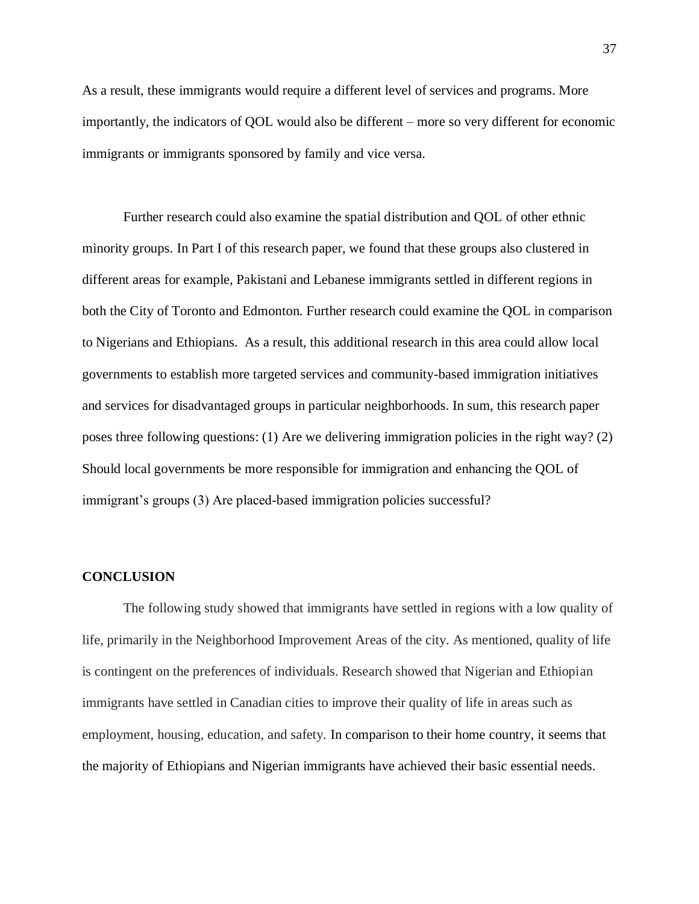As a result, these immigrants would require a different level of services and programs. More importantly, the indicators of QOL would also be different – more so very different for economic immigrants or immigrants sponsored by family and vice versa.

Further research could also examine the spatial distribution and QOL of other ethnic minority groups. In Part I of this research paper, we found that these groups also clustered in different areas for example, Pakistani and Lebanese immigrants settled in different regions in both the City of Toronto and Edmonton. Further research could examine the QOL in comparison to Nigerians and Ethiopians. As a result, this additional research in this area could allow local governments to establish more targeted services and community-based immigration initiatives and services for disadvantaged groups in particular neighborhoods. In sum, this research paper poses three following questions: (1) Are we delivering immigration policies in the right way? (2) Should local governments be more responsible for immigration and enhancing the QOL of immigrant's groups (3) Are placed-based immigration policies successful?

#### <span id="page-37-0"></span>**CONCLUSION**

The following study showed that immigrants have settled in regions with a low quality of life, primarily in the Neighborhood Improvement Areas of the city. As mentioned, quality of life is contingent on the preferences of individuals. Research showed that Nigerian and Ethiopian immigrants have settled in Canadian cities to improve their quality of life in areas such as employment, housing, education, and safety. In comparison to their home country, it seems that the majority of Ethiopians and Nigerian immigrants have achieved their basic essential needs.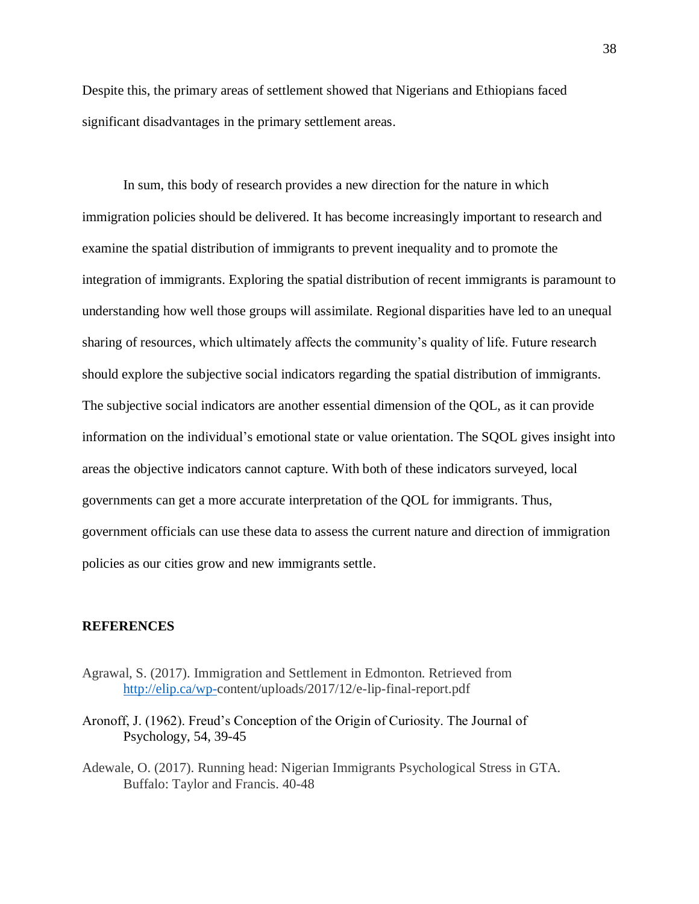Despite this, the primary areas of settlement showed that Nigerians and Ethiopians faced significant disadvantages in the primary settlement areas.

In sum, this body of research provides a new direction for the nature in which immigration policies should be delivered. It has become increasingly important to research and examine the spatial distribution of immigrants to prevent inequality and to promote the integration of immigrants. Exploring the spatial distribution of recent immigrants is paramount to understanding how well those groups will assimilate. Regional disparities have led to an unequal sharing of resources, which ultimately affects the community's quality of life. Future research should explore the subjective social indicators regarding the spatial distribution of immigrants. The subjective social indicators are another essential dimension of the QOL, as it can provide information on the individual's emotional state or value orientation. The SQOL gives insight into areas the objective indicators cannot capture. With both of these indicators surveyed, local governments can get a more accurate interpretation of the QOL for immigrants. Thus, government officials can use these data to assess the current nature and direction of immigration policies as our cities grow and new immigrants settle.

#### <span id="page-38-0"></span>**REFERENCES**

- Agrawal, S. (2017). Immigration and Settlement in Edmonton. Retrieved from [http://elip.ca/wp-c](http://elip.ca/wp-)ontent/uploads/2017/12/e-lip-final-report.pdf
- Aronoff, J. (1962). Freud's Conception of the Origin of Curiosity. The Journal of Psychology, 54, 39-45
- Adewale, O. (2017). Running head: Nigerian Immigrants Psychological Stress in GTA. Buffalo: Taylor and Francis. 40-48

38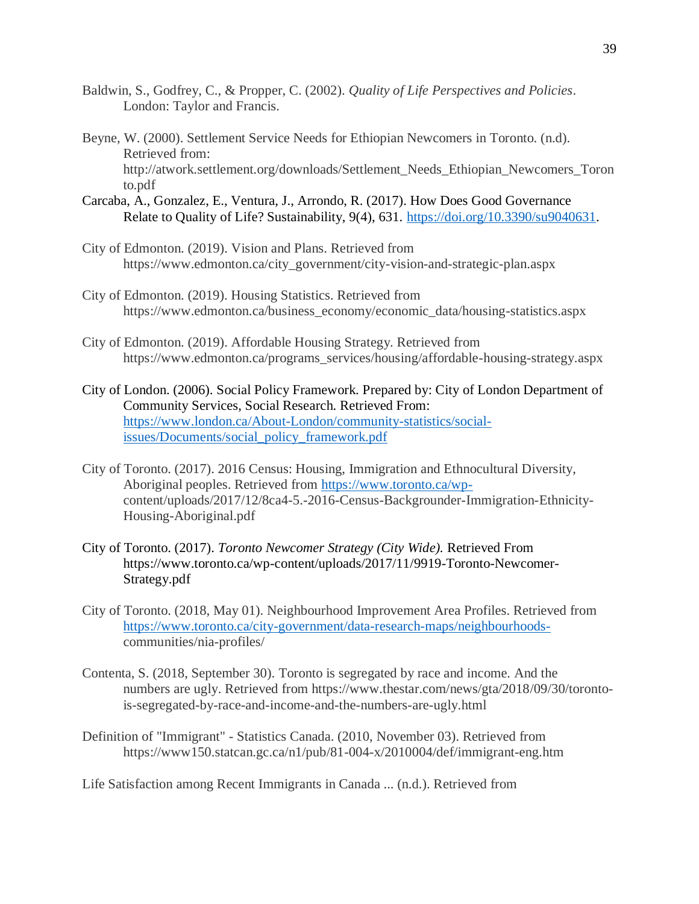- Baldwin, S., Godfrey, C., & Propper, C. (2002). *Quality of Life Perspectives and Policies*. London: Taylor and Francis.
- Beyne, W. (2000). Settlement Service Needs for Ethiopian Newcomers in Toronto. (n.d). Retrieved from: http://atwork.settlement.org/downloads/Settlement\_Needs\_Ethiopian\_Newcomers\_Toron to.pdf
- Carcaba, A., Gonzalez, E., Ventura, J., Arrondo, R. (2017). How Does Good Governance Relate to Quality of Life? Sustainability, 9(4), 631. [https://doi.org/10.3390/su9040631.](https://doi.org/10.3390/su9040631)
- City of Edmonton. (2019). Vision and Plans. Retrieved from https://www.edmonton.ca/city\_government/city-vision-and-strategic-plan.aspx
- City of Edmonton. (2019). Housing Statistics. Retrieved from https://www.edmonton.ca/business\_economy/economic\_data/housing-statistics.aspx
- City of Edmonton. (2019). Affordable Housing Strategy. Retrieved from https://www.edmonton.ca/programs\_services/housing/affordable-housing-strategy.aspx
- City of London. (2006). Social Policy Framework. Prepared by: City of London Department of Community Services, Social Research. Retrieved From: [https://www.london.ca/About-London/community-statistics/social](https://www.london.ca/About-London/community-statistics/social-issues/Documents/social_policy_framework.pdf)[issues/Documents/social\\_policy\\_framework.pdf](https://www.london.ca/About-London/community-statistics/social-issues/Documents/social_policy_framework.pdf)
- City of Toronto. (2017). 2016 Census: Housing, Immigration and Ethnocultural Diversity, Aboriginal peoples. Retrieved from [https://www.toronto.ca/wp](https://www.toronto.ca/wp-)content/uploads/2017/12/8ca4-5.-2016-Census-Backgrounder-Immigration-Ethnicity-Housing-Aboriginal.pdf
- City of Toronto. (2017). *Toronto Newcomer Strategy (City Wide).* Retrieved From https://www.toronto.ca/wp-content/uploads/2017/11/9919-Toronto-Newcomer-Strategy.pdf
- City of Toronto. (2018, May 01). Neighbourhood Improvement Area Profiles. Retrieved from [https://www.toronto.ca/city-government/data-research-maps/neighbourhoods](https://www.toronto.ca/city-government/data-research-maps/neighbourhoods-)communities/nia-profiles/
- Contenta, S. (2018, September 30). Toronto is segregated by race and income. And the numbers are ugly. Retrieved from https://www.thestar.com/news/gta/2018/09/30/torontois-segregated-by-race-and-income-and-the-numbers-are-ugly.html
- Definition of "Immigrant" Statistics Canada. (2010, November 03). Retrieved from https://www150.statcan.gc.ca/n1/pub/81-004-x/2010004/def/immigrant-eng.htm

Life Satisfaction among Recent Immigrants in Canada ... (n.d.). Retrieved from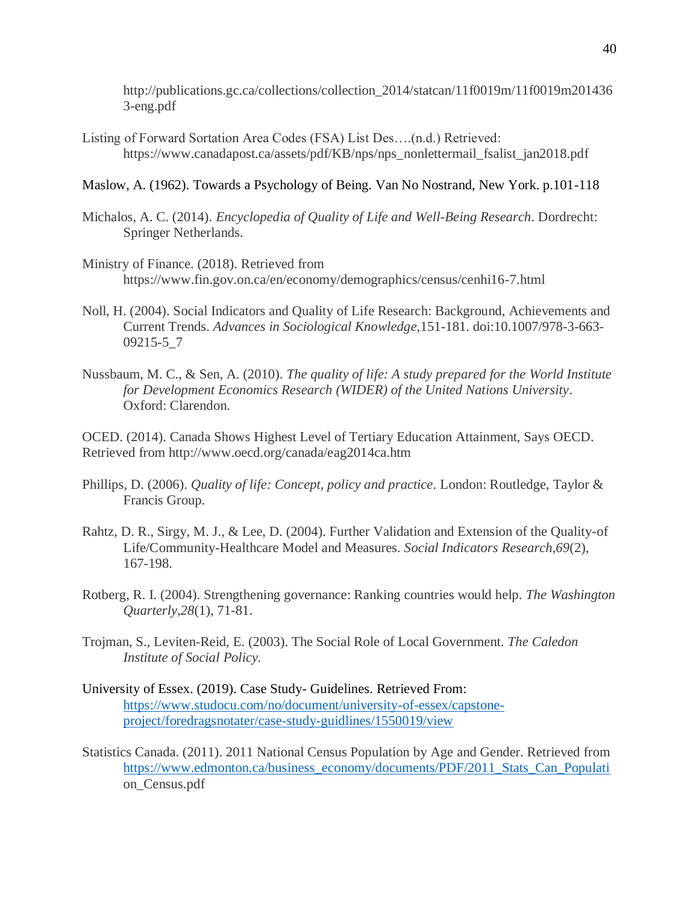http://publications.gc.ca/collections/collection\_2014/statcan/11f0019m/11f0019m201436 3-eng.pdf

Listing of Forward Sortation Area Codes (FSA) List Des….(n.d.) Retrieved: https://www.canadapost.ca/assets/pdf/KB/nps/nps\_nonlettermail\_fsalist\_jan2018.pdf

## Maslow, A. (1962). Towards a Psychology of Being. Van No Nostrand, New York. p.101-118

- Michalos, A. C. (2014). *Encyclopedia of Quality of Life and Well-Being Research*. Dordrecht: Springer Netherlands.
- Ministry of Finance. (2018). Retrieved from https://www.fin.gov.on.ca/en/economy/demographics/census/cenhi16-7.html
- Noll, H. (2004). Social Indicators and Quality of Life Research: Background, Achievements and Current Trends. *Advances in Sociological Knowledge,*151-181. doi:10.1007/978-3-663- 09215-5\_7
- Nussbaum, M. C., & Sen, A. (2010). *The quality of life: A study prepared for the World Institute for Development Economics Research (WIDER) of the United Nations University*. Oxford: Clarendon.

OCED. (2014). Canada Shows Highest Level of Tertiary Education Attainment, Says OECD. Retrieved from http://www.oecd.org/canada/eag2014ca.htm

- Phillips, D. (2006). *Quality of life: Concept, policy and practice*. London: Routledge, Taylor & Francis Group.
- Rahtz, D. R., Sirgy, M. J., & Lee, D. (2004). Further Validation and Extension of the Quality-of Life/Community-Healthcare Model and Measures. *Social Indicators Research,69*(2), 167-198.
- Rotberg, R. I. (2004). Strengthening governance: Ranking countries would help. *The Washington Quarterly,28*(1), 71-81.
- Trojman, S., Leviten-Reid, E. (2003). The Social Role of Local Government. *The Caledon Institute of Social Policy.*
- University of Essex. (2019). Case Study- Guidelines. Retrieved From: [https://www.studocu.com/no/document/university-of-essex/capstone](https://www.studocu.com/no/document/university-of-essex/capstone-project/foredragsnotater/case-study-guidlines/1550019/view)[project/foredragsnotater/case-study-guidlines/1550019/view](https://www.studocu.com/no/document/university-of-essex/capstone-project/foredragsnotater/case-study-guidlines/1550019/view)
- Statistics Canada. (2011). 2011 National Census Population by Age and Gender. Retrieved from [https://www.edmonton.ca/business\\_economy/documents/PDF/2011\\_Stats\\_Can\\_Populati](https://www.edmonton.ca/business_economy/documents/PDF/2011_Stats_Can_Populati) on\_Census.pdf